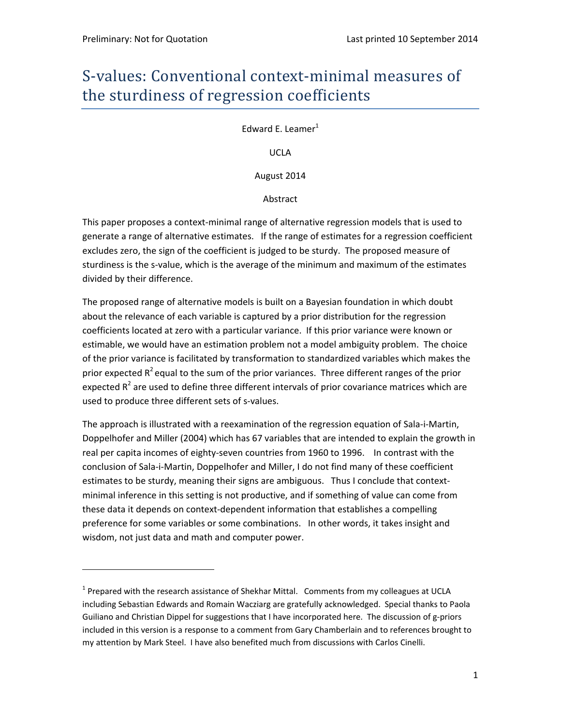# S-values: Conventional context-minimal measures of the sturdiness of regression coefficients

Edward E. Leamer $<sup>1</sup>$ </sup>

UCLA

August 2014

Abstract

This paper proposes a context-minimal range of alternative regression models that is used to generate a range of alternative estimates. If the range of estimates for a regression coefficient excludes zero, the sign of the coefficient is judged to be sturdy. The proposed measure of sturdiness is the s‐value, which is the average of the minimum and maximum of the estimates divided by their difference.

The proposed range of alternative models is built on a Bayesian foundation in which doubt about the relevance of each variable is captured by a prior distribution for the regression coefficients located at zero with a particular variance. If this prior variance were known or estimable, we would have an estimation problem not a model ambiguity problem. The choice of the prior variance is facilitated by transformation to standardized variables which makes the prior expected  $R^2$  equal to the sum of the prior variances. Three different ranges of the prior expected  $R^2$  are used to define three different intervals of prior covariance matrices which are used to produce three different sets of s-values.

The approach is illustrated with a reexamination of the regression equation of Sala‐i‐Martin, Doppelhofer and Miller (2004) which has 67 variables that are intended to explain the growth in real per capita incomes of eighty-seven countries from 1960 to 1996. In contrast with the conclusion of Sala‐i‐Martin, Doppelhofer and Miller, I do not find many of these coefficient estimates to be sturdy, meaning their signs are ambiguous. Thus I conclude that contextminimal inference in this setting is not productive, and if something of value can come from these data it depends on context‐dependent information that establishes a compelling preference for some variables or some combinations. In other words, it takes insight and wisdom, not just data and math and computer power.

 $<sup>1</sup>$  Prepared with the research assistance of Shekhar Mittal. Comments from my colleagues at UCLA</sup> including Sebastian Edwards and Romain Wacziarg are gratefully acknowledged. Special thanks to Paola Guiliano and Christian Dippel for suggestions that I have incorporated here. The discussion of g‐priors included in this version is a response to a comment from Gary Chamberlain and to references brought to my attention by Mark Steel. I have also benefited much from discussions with Carlos Cinelli.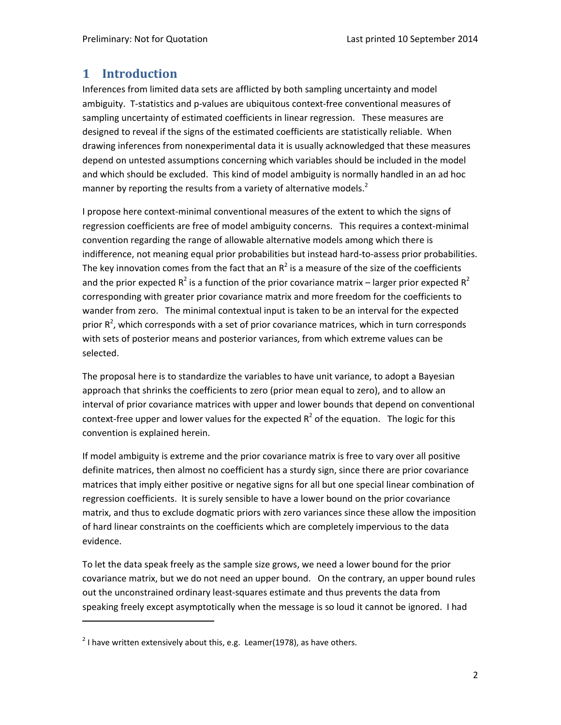# **1 Introduction**

Inferences from limited data sets are afflicted by both sampling uncertainty and model ambiguity. T‐statistics and p‐values are ubiquitous context‐free conventional measures of sampling uncertainty of estimated coefficients in linear regression. These measures are designed to reveal if the signs of the estimated coefficients are statistically reliable. When drawing inferences from nonexperimental data it is usually acknowledged that these measures depend on untested assumptions concerning which variables should be included in the model and which should be excluded. This kind of model ambiguity is normally handled in an ad hoc manner by reporting the results from a variety of alternative models.<sup>2</sup>

I propose here context-minimal conventional measures of the extent to which the signs of regression coefficients are free of model ambiguity concerns. This requires a context-minimal convention regarding the range of allowable alternative models among which there is indifference, not meaning equal prior probabilities but instead hard‐to‐assess prior probabilities. The key innovation comes from the fact that an  $R^2$  is a measure of the size of the coefficients and the prior expected  $R^2$  is a function of the prior covariance matrix – larger prior expected  $R^2$ corresponding with greater prior covariance matrix and more freedom for the coefficients to wander from zero. The minimal contextual input is taken to be an interval for the expected prior  $R^2$ , which corresponds with a set of prior covariance matrices, which in turn corresponds with sets of posterior means and posterior variances, from which extreme values can be selected.

The proposal here is to standardize the variables to have unit variance, to adopt a Bayesian approach that shrinks the coefficients to zero (prior mean equal to zero), and to allow an interval of prior covariance matrices with upper and lower bounds that depend on conventional context-free upper and lower values for the expected  $R^2$  of the equation. The logic for this convention is explained herein.

If model ambiguity is extreme and the prior covariance matrix is free to vary over all positive definite matrices, then almost no coefficient has a sturdy sign, since there are prior covariance matrices that imply either positive or negative signs for all but one special linear combination of regression coefficients. It is surely sensible to have a lower bound on the prior covariance matrix, and thus to exclude dogmatic priors with zero variances since these allow the imposition of hard linear constraints on the coefficients which are completely impervious to the data evidence.

To let the data speak freely as the sample size grows, we need a lower bound for the prior covariance matrix, but we do not need an upper bound. On the contrary, an upper bound rules out the unconstrained ordinary least‐squares estimate and thus prevents the data from speaking freely except asymptotically when the message is so loud it cannot be ignored. I had

 $2$  I have written extensively about this, e.g. Leamer(1978), as have others.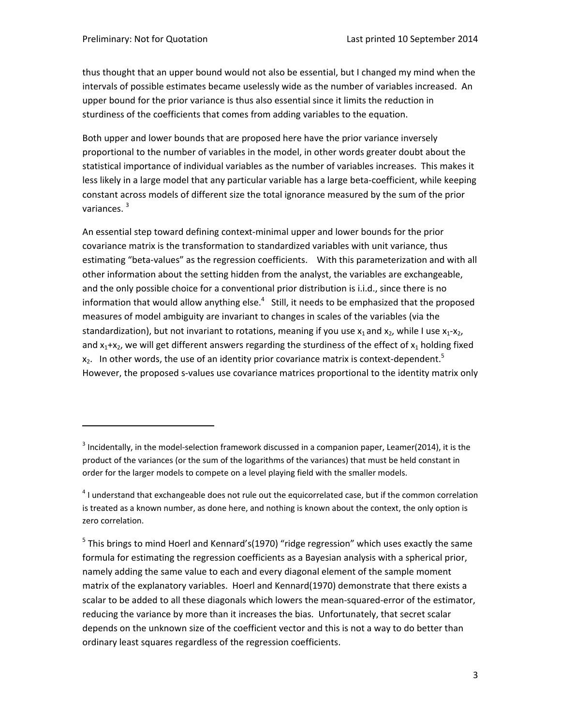thus thought that an upper bound would not also be essential, but I changed my mind when the intervals of possible estimates became uselessly wide as the number of variables increased. An upper bound for the prior variance is thus also essential since it limits the reduction in sturdiness of the coefficients that comes from adding variables to the equation.

Both upper and lower bounds that are proposed here have the prior variance inversely proportional to the number of variables in the model, in other words greater doubt about the statistical importance of individual variables as the number of variables increases. This makes it less likely in a large model that any particular variable has a large beta‐coefficient, while keeping constant across models of different size the total ignorance measured by the sum of the prior variances.<sup>3</sup>

An essential step toward defining context‐minimal upper and lower bounds for the prior covariance matrix is the transformation to standardized variables with unit variance, thus estimating "beta-values" as the regression coefficients. With this parameterization and with all other information about the setting hidden from the analyst, the variables are exchangeable, and the only possible choice for a conventional prior distribution is i.i.d., since there is no information that would allow anything else. $^4$  Still, it needs to be emphasized that the proposed measures of model ambiguity are invariant to changes in scales of the variables (via the standardization), but not invariant to rotations, meaning if you use  $x_1$  and  $x_2$ , while I use  $x_1$ - $x_2$ , and  $x_1+x_2$ , we will get different answers regarding the sturdiness of the effect of  $x_1$  holding fixed  $x_2$ . In other words, the use of an identity prior covariance matrix is context-dependent.<sup>5</sup> However, the proposed s-values use covariance matrices proportional to the identity matrix only

<sup>&</sup>lt;sup>3</sup> Incidentally, in the model-selection framework discussed in a companion paper, Leamer(2014), it is the product of the variances (or the sum of the logarithms of the variances) that must be held constant in order for the larger models to compete on a level playing field with the smaller models.

 $4$  I understand that exchangeable does not rule out the equicorrelated case, but if the common correlation is treated as a known number, as done here, and nothing is known about the context, the only option is zero correlation.

 $5$  This brings to mind Hoerl and Kennard's(1970) "ridge regression" which uses exactly the same formula for estimating the regression coefficients as a Bayesian analysis with a spherical prior, namely adding the same value to each and every diagonal element of the sample moment matrix of the explanatory variables. Hoerl and Kennard(1970) demonstrate that there exists a scalar to be added to all these diagonals which lowers the mean‐squared‐error of the estimator, reducing the variance by more than it increases the bias. Unfortunately, that secret scalar depends on the unknown size of the coefficient vector and this is not a way to do better than ordinary least squares regardless of the regression coefficients.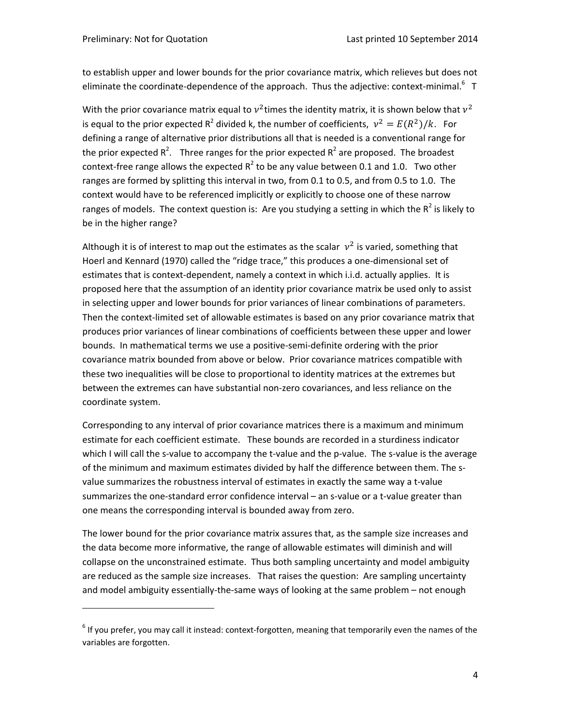to establish upper and lower bounds for the prior covariance matrix, which relieves but does not eliminate the coordinate-dependence of the approach. Thus the adjective: context-minimal.<sup>6</sup> T

With the prior covariance matrix equal to  $v^2$  times the identity matrix, it is shown below that  $v^2$ is equal to the prior expected R<sup>2</sup> divided k, the number of coefficients,  $v^2 = E(R^2)/k$ . For defining a range of alternative prior distributions all that is needed is a conventional range for the prior expected R<sup>2</sup>. Three ranges for the prior expected R<sup>2</sup> are proposed. The broadest context-free range allows the expected  $R^2$  to be any value between 0.1 and 1.0. Two other ranges are formed by splitting this interval in two, from 0.1 to 0.5, and from 0.5 to 1.0. The context would have to be referenced implicitly or explicitly to choose one of these narrow ranges of models. The context question is: Are you studying a setting in which the  $R^2$  is likely to be in the higher range?

Although it is of interest to map out the estimates as the scalar  $v^2$  is varied, something that Hoerl and Kennard (1970) called the "ridge trace," this produces a one‐dimensional set of estimates that is context‐dependent, namely a context in which i.i.d. actually applies. It is proposed here that the assumption of an identity prior covariance matrix be used only to assist in selecting upper and lower bounds for prior variances of linear combinations of parameters. Then the context‐limited set of allowable estimates is based on any prior covariance matrix that produces prior variances of linear combinations of coefficients between these upper and lower bounds. In mathematical terms we use a positive‐semi‐definite ordering with the prior covariance matrix bounded from above or below. Prior covariance matrices compatible with these two inequalities will be close to proportional to identity matrices at the extremes but between the extremes can have substantial non‐zero covariances, and less reliance on the coordinate system.

Corresponding to any interval of prior covariance matrices there is a maximum and minimum estimate for each coefficient estimate. These bounds are recorded in a sturdiness indicator which I will call the s-value to accompany the t-value and the p-value. The s-value is the average of the minimum and maximum estimates divided by half the difference between them. The s‐ value summarizes the robustness interval of estimates in exactly the same way a t-value summarizes the one-standard error confidence interval – an s-value or a t-value greater than one means the corresponding interval is bounded away from zero.

The lower bound for the prior covariance matrix assures that, as the sample size increases and the data become more informative, the range of allowable estimates will diminish and will collapse on the unconstrained estimate. Thus both sampling uncertainty and model ambiguity are reduced as the sample size increases. That raises the question: Are sampling uncertainty and model ambiguity essentially-the-same ways of looking at the same problem – not enough

 $6$  If you prefer, you may call it instead: context-forgotten, meaning that temporarily even the names of the variables are forgotten.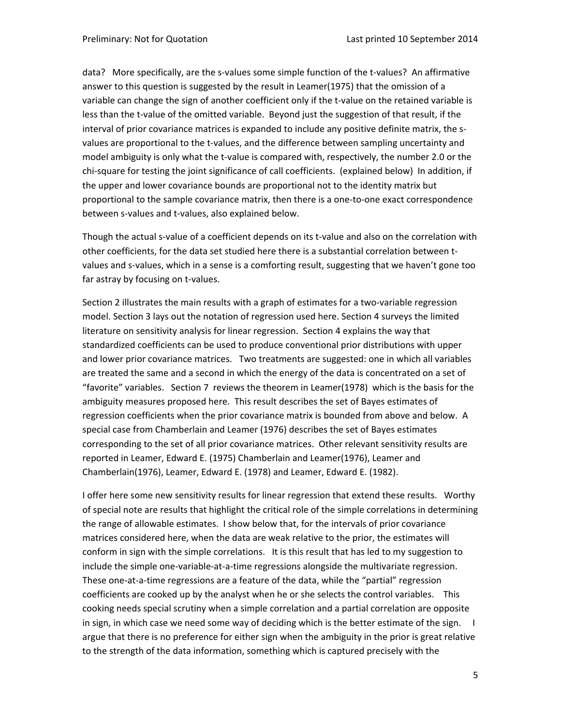data? More specifically, are the s‐values some simple function of the t‐values? An affirmative answer to this question is suggested by the result in Leamer(1975) that the omission of a variable can change the sign of another coefficient only if the t-value on the retained variable is less than the t-value of the omitted variable. Beyond just the suggestion of that result, if the interval of prior covariance matrices is expanded to include any positive definite matrix, the svalues are proportional to the t-values, and the difference between sampling uncertainty and model ambiguity is only what the t-value is compared with, respectively, the number 2.0 or the chi-square for testing the joint significance of call coefficients. (explained below) In addition, if the upper and lower covariance bounds are proportional not to the identity matrix but proportional to the sample covariance matrix, then there is a one‐to‐one exact correspondence between s-values and t-values, also explained below.

Though the actual s-value of a coefficient depends on its t-value and also on the correlation with other coefficients, for the data set studied here there is a substantial correlation between t‐ values and s‐values, which in a sense is a comforting result, suggesting that we haven't gone too far astray by focusing on t-values.

Section 2 illustrates the main results with a graph of estimates for a two-variable regression model. Section 3 lays out the notation of regression used here. Section 4 surveys the limited literature on sensitivity analysis for linear regression. Section 4 explains the way that standardized coefficients can be used to produce conventional prior distributions with upper and lower prior covariance matrices. Two treatments are suggested: one in which all variables are treated the same and a second in which the energy of the data is concentrated on a set of "favorite" variables. Section 7 reviews the theorem in Leamer(1978) which is the basis for the ambiguity measures proposed here. This result describes the set of Bayes estimates of regression coefficients when the prior covariance matrix is bounded from above and below. A special case from Chamberlain and Leamer (1976) describes the set of Bayes estimates corresponding to the set of all prior covariance matrices. Other relevant sensitivity results are reported in Leamer, Edward E. (1975) Chamberlain and Leamer(1976), Leamer and Chamberlain(1976), Leamer, Edward E. (1978) and Leamer, Edward E. (1982).

I offer here some new sensitivity results for linear regression that extend these results. Worthy of special note are results that highlight the critical role of the simple correlations in determining the range of allowable estimates. I show below that, for the intervals of prior covariance matrices considered here, when the data are weak relative to the prior, the estimates will conform in sign with the simple correlations. It is this result that has led to my suggestion to include the simple one‐variable‐at‐a‐time regressions alongside the multivariate regression. These one‐at‐a‐time regressions are a feature of the data, while the "partial" regression coefficients are cooked up by the analyst when he or she selects the control variables. This cooking needs special scrutiny when a simple correlation and a partial correlation are opposite in sign, in which case we need some way of deciding which is the better estimate of the sign.  $\Box$ argue that there is no preference for either sign when the ambiguity in the prior is great relative to the strength of the data information, something which is captured precisely with the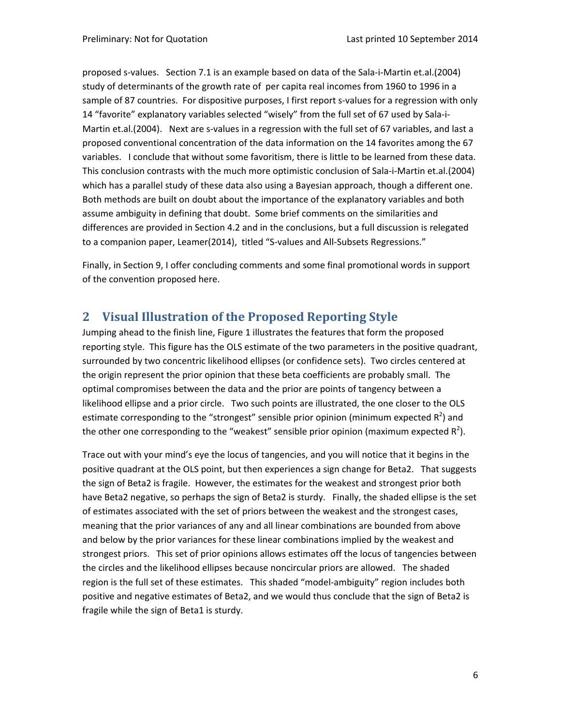proposed s‐values. Section 7.1 is an example based on data of the Sala‐i‐Martin et.al.(2004) study of determinants of the growth rate of per capita real incomes from 1960 to 1996 in a sample of 87 countries. For dispositive purposes, I first report s-values for a regression with only 14 "favorite" explanatory variables selected "wisely" from the full set of 67 used by Sala‐i‐ Martin et.al.(2004). Next are s-values in a regression with the full set of 67 variables, and last a proposed conventional concentration of the data information on the 14 favorites among the 67 variables. I conclude that without some favoritism, there is little to be learned from these data. This conclusion contrasts with the much more optimistic conclusion of Sala‐i‐Martin et.al.(2004) which has a parallel study of these data also using a Bayesian approach, though a different one. Both methods are built on doubt about the importance of the explanatory variables and both assume ambiguity in defining that doubt. Some brief comments on the similarities and differences are provided in Section 4.2 and in the conclusions, but a full discussion is relegated to a companion paper, Leamer(2014), titled "S-values and All-Subsets Regressions."

Finally, in Section 9, I offer concluding comments and some final promotional words in support of the convention proposed here.

# **2 Visual Illustration of the Proposed Reporting Style**

Jumping ahead to the finish line, Figure 1 illustrates the features that form the proposed reporting style. This figure has the OLS estimate of the two parameters in the positive quadrant, surrounded by two concentric likelihood ellipses (or confidence sets). Two circles centered at the origin represent the prior opinion that these beta coefficients are probably small. The optimal compromises between the data and the prior are points of tangency between a likelihood ellipse and a prior circle. Two such points are illustrated, the one closer to the OLS estimate corresponding to the "strongest" sensible prior opinion (minimum expected  $R^2$ ) and the other one corresponding to the "weakest" sensible prior opinion (maximum expected  $R^2$ ).

Trace out with your mind's eye the locus of tangencies, and you will notice that it begins in the positive quadrant at the OLS point, but then experiences a sign change for Beta2. That suggests the sign of Beta2 is fragile. However, the estimates for the weakest and strongest prior both have Beta2 negative, so perhaps the sign of Beta2 is sturdy. Finally, the shaded ellipse is the set of estimates associated with the set of priors between the weakest and the strongest cases, meaning that the prior variances of any and all linear combinations are bounded from above and below by the prior variances for these linear combinations implied by the weakest and strongest priors. This set of prior opinions allows estimates off the locus of tangencies between the circles and the likelihood ellipses because noncircular priors are allowed. The shaded region is the full set of these estimates. This shaded "model‐ambiguity" region includes both positive and negative estimates of Beta2, and we would thus conclude that the sign of Beta2 is fragile while the sign of Beta1 is sturdy.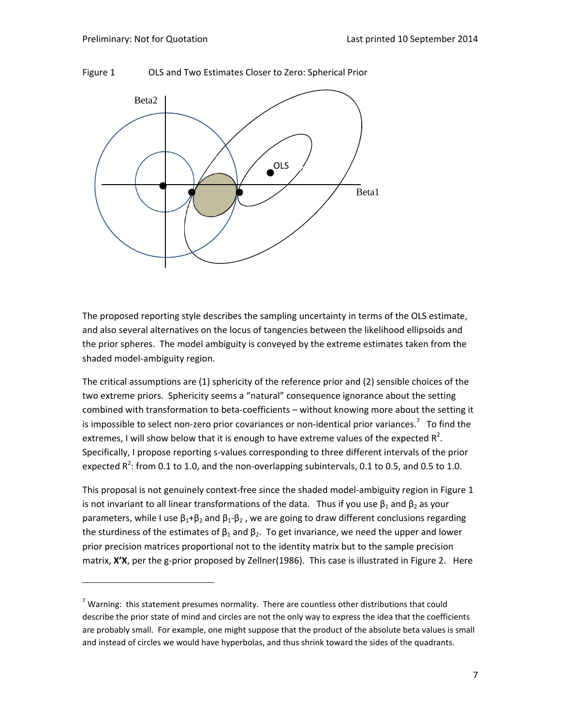



The proposed reporting style describes the sampling uncertainty in terms of the OLS estimate, and also several alternatives on the locus of tangencies between the likelihood ellipsoids and the prior spheres. The model ambiguity is conveyed by the extreme estimates taken from the shaded model‐ambiguity region.

The critical assumptions are (1) sphericity of the reference prior and (2) sensible choices of the two extreme priors. Sphericity seems a "natural" consequence ignorance about the setting combined with transformation to beta‐coefficients – without knowing more about the setting it is impossible to select non-zero prior covariances or non-identical prior variances.<sup>7</sup> To find the extremes, I will show below that it is enough to have extreme values of the expected  $R^2$ . Specifically, I propose reporting s‐values corresponding to three different intervals of the prior expected R<sup>2</sup>: from 0.1 to 1.0, and the non-overlapping subintervals, 0.1 to 0.5, and 0.5 to 1.0.

This proposal is not genuinely context-free since the shaded model-ambiguity region in Figure 1 is not invariant to all linear transformations of the data. Thus if you use  $\beta_1$  and  $\beta_2$  as your parameters, while I use  $\beta_1 + \beta_2$  and  $\beta_1 - \beta_2$ , we are going to draw different conclusions regarding the sturdiness of the estimates of  $\beta_1$  and  $\beta_2$ . To get invariance, we need the upper and lower prior precision matrices proportional not to the identity matrix but to the sample precision matrix, **X'X**, per the g-prior proposed by Zellner(1986). This case is illustrated in Figure 2. Here

 $<sup>7</sup>$  Warning: this statement presumes normality. There are countless other distributions that could</sup> describe the prior state of mind and circles are not the only way to express the idea that the coefficients are probably small. For example, one might suppose that the product of the absolute beta values is small and instead of circles we would have hyperbolas, and thus shrink toward the sides of the quadrants.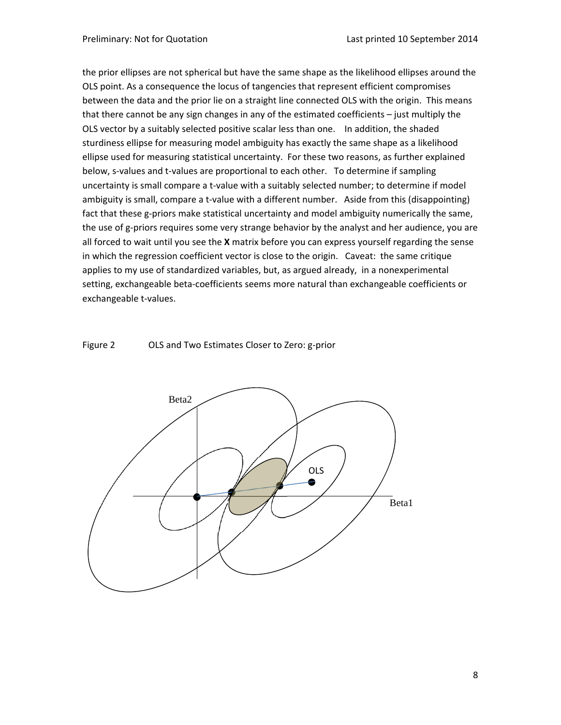the prior ellipses are not spherical but have the same shape as the likelihood ellipses around the OLS point. As a consequence the locus of tangencies that represent efficient compromises between the data and the prior lie on a straight line connected OLS with the origin. This means that there cannot be any sign changes in any of the estimated coefficients – just multiply the OLS vector by a suitably selected positive scalar less than one. In addition, the shaded sturdiness ellipse for measuring model ambiguity has exactly the same shape as a likelihood ellipse used for measuring statistical uncertainty. For these two reasons, as further explained below, s-values and t-values are proportional to each other. To determine if sampling uncertainty is small compare a t-value with a suitably selected number; to determine if model ambiguity is small, compare a t-value with a different number. Aside from this (disappointing) fact that these g-priors make statistical uncertainty and model ambiguity numerically the same, the use of g-priors requires some very strange behavior by the analyst and her audience, you are all forced to wait until you see the **X** matrix before you can express yourself regarding the sense in which the regression coefficient vector is close to the origin. Caveat: the same critique applies to my use of standardized variables, but, as argued already, in a nonexperimental setting, exchangeable beta‐coefficients seems more natural than exchangeable coefficients or exchangeable t‐values.



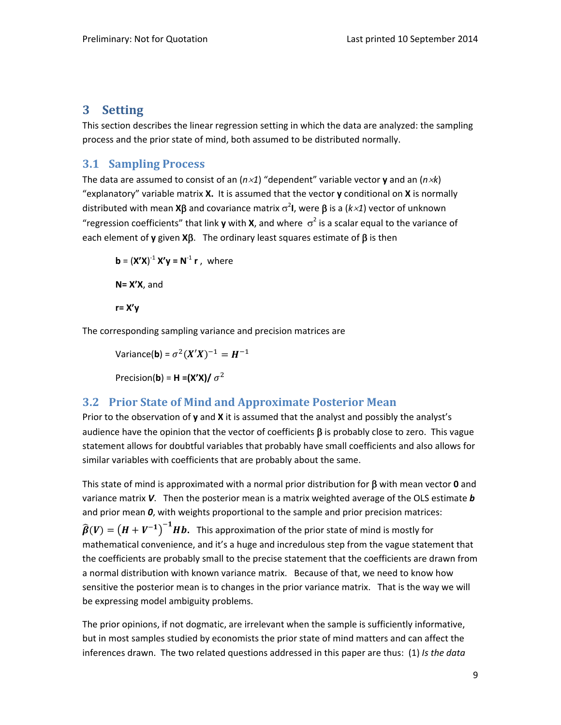# **3 Setting**

This section describes the linear regression setting in which the data are analyzed: the sampling process and the prior state of mind, both assumed to be distributed normally.

# **3.1 Sampling Process**

The data are assumed to consist of an  $(n \times 1)$  "dependent" variable vector **y** and an  $(n \times k)$ "explanatory" variable matrix **X.** It is assumed that the vector **y** conditional on **X** is normally distributed with mean **X** $\beta$  and covariance matrix  $\sigma^2$ I, were  $\beta$  is a ( $k \times 1$ ) vector of unknown "regression coefficients" that link **y** with **X**, and where  $\sigma^2$  is a scalar equal to the variance of each element of **y** given  $X\beta$ . The ordinary least squares estimate of  $\beta$  is then

$$
\mathbf{b} = (\mathbf{X'X})^{-1} \mathbf{X'y} = \mathbf{N}^{-1} \mathbf{r}, \text{ where}
$$
  

$$
\mathbf{N} = \mathbf{X'X}, \text{ and}
$$
  

$$
\mathbf{r} = \mathbf{X'y}
$$

The corresponding sampling variance and precision matrices are

Variance(**b**) = 
$$
\sigma^2 (X'X)^{-1} = H^{-1}
$$
  
Precision(**b**) = **H** = (X'X)/  $\sigma^2$ 

# **3.2 Prior State of Mind and Approximate Posterior Mean**

Prior to the observation of **y** and **X** it is assumed that the analyst and possibly the analyst's audience have the opinion that the vector of coefficients  $\beta$  is probably close to zero. This vague statement allows for doubtful variables that probably have small coefficients and also allows for similar variables with coefficients that are probably about the same.

This state of mind is approximated with a normal prior distribution for  $\beta$  with mean vector  $\boldsymbol{0}$  and variance matrix *V*. Then the posterior mean is a matrix weighted average of the OLS estimate *b* and prior mean *0*, with weights proportional to the sample and prior precision matrices:  $\widehat{\boldsymbol{\beta}}(\boldsymbol{V})=\left(\boldsymbol{H}+\boldsymbol{V}^{-1}\right)^{-1}\boldsymbol{H}\boldsymbol{b}.$  This approximation of the prior state of mind is mostly for mathematical convenience, and it's a huge and incredulous step from the vague statement that the coefficients are probably small to the precise statement that the coefficients are drawn from a normal distribution with known variance matrix. Because of that, we need to know how sensitive the posterior mean is to changes in the prior variance matrix. That is the way we will be expressing model ambiguity problems.

The prior opinions, if not dogmatic, are irrelevant when the sample is sufficiently informative, but in most samples studied by economists the prior state of mind matters and can affect the inferences drawn.The two related questions addressed in this paper are thus: (1) *Is the data*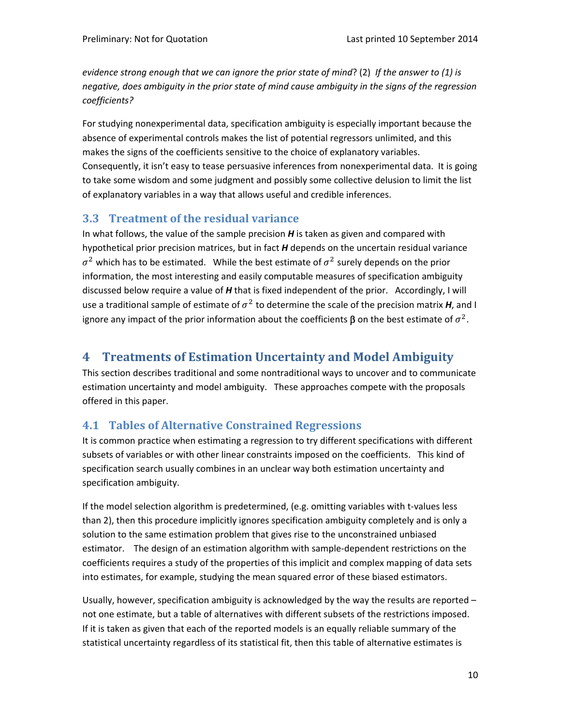*evidence strong enough that we can ignore the prior state of mind*? (2) *If the answer to (1) is negative, does ambiguity in the prior state of mind cause ambiguity in the signs of the regression coefficients?* 

For studying nonexperimental data, specification ambiguity is especially important because the absence of experimental controls makes the list of potential regressors unlimited, and this makes the signs of the coefficients sensitive to the choice of explanatory variables. Consequently, it isn't easy to tease persuasive inferences from nonexperimental data. It is going to take some wisdom and some judgment and possibly some collective delusion to limit the list of explanatory variables in a way that allows useful and credible inferences.

# **3.3 Treatment of the residual variance**

In what follows, the value of the sample precision *H* is taken as given and compared with hypothetical prior precision matrices, but in fact *H* depends on the uncertain residual variance  $\sigma^2$  which has to be estimated. While the best estimate of  $\sigma^2$  surely depends on the prior information, the most interesting and easily computable measures of specification ambiguity discussed below require a value of *H* that is fixed independent of the prior. Accordingly, I will use a traditional sample of estimate of  $\sigma^2$  to determine the scale of the precision matrix *H*, and I ignore any impact of the prior information about the coefficients  $\beta$  on the best estimate of  $\sigma^2$ .

# **4 Treatments of Estimation Uncertainty and Model Ambiguity**

This section describes traditional and some nontraditional ways to uncover and to communicate estimation uncertainty and model ambiguity. These approaches compete with the proposals offered in this paper.

# **4.1 Tables of Alternative Constrained Regressions**

It is common practice when estimating a regression to try different specifications with different subsets of variables or with other linear constraints imposed on the coefficients. This kind of specification search usually combines in an unclear way both estimation uncertainty and specification ambiguity.

If the model selection algorithm is predetermined, (e.g. omitting variables with t-values less than 2), then this procedure implicitly ignores specification ambiguity completely and is only a solution to the same estimation problem that gives rise to the unconstrained unbiased estimator. The design of an estimation algorithm with sample-dependent restrictions on the coefficients requires a study of the properties of this implicit and complex mapping of data sets into estimates, for example, studying the mean squared error of these biased estimators.

Usually, however, specification ambiguity is acknowledged by the way the results are reported  $$ not one estimate, but a table of alternatives with different subsets of the restrictions imposed. If it is taken as given that each of the reported models is an equally reliable summary of the statistical uncertainty regardless of its statistical fit, then this table of alternative estimates is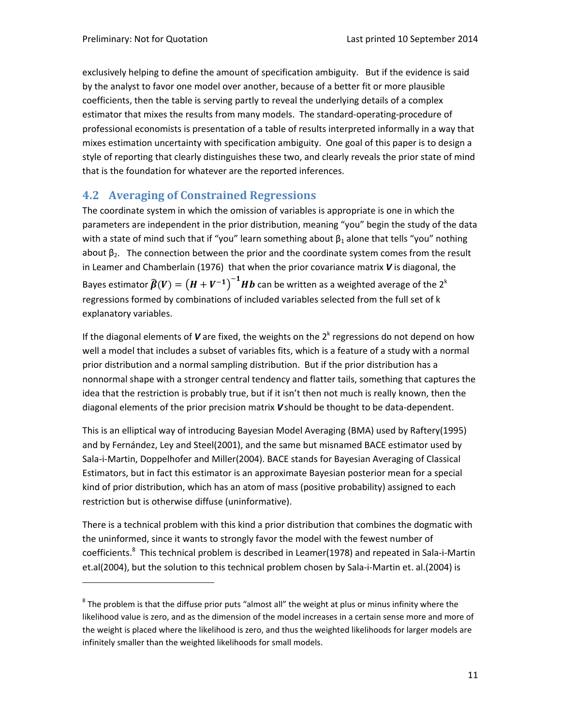exclusively helping to define the amount of specification ambiguity. But if the evidence is said by the analyst to favor one model over another, because of a better fit or more plausible coefficients, then the table is serving partly to reveal the underlying details of a complex estimator that mixes the results from many models. The standard‐operating‐procedure of professional economists is presentation of a table of results interpreted informally in a way that mixes estimation uncertainty with specification ambiguity. One goal of this paper is to design a style of reporting that clearly distinguishes these two, and clearly reveals the prior state of mind that is the foundation for whatever are the reported inferences.

## **4.2 Averaging of Constrained Regressions**

The coordinate system in which the omission of variables is appropriate is one in which the parameters are independent in the prior distribution, meaning "you" begin the study of the data with a state of mind such that if "you" learn something about  $\beta_1$  alone that tells "you" nothing about β<sub>2</sub>. The connection between the prior and the coordinate system comes from the result in Leamer and Chamberlain (1976) that when the prior covariance matrix *V* is diagonal, the Bayes estimator  $\widehat{\boldsymbol{\beta}}(V)=\left(H+V^{-1}\right)^{-1}\boldsymbol{H}\boldsymbol{b}$  can be written as a weighted average of the 2<sup>k</sup> regressions formed by combinations of included variables selected from the full set of k explanatory variables.

If the diagonal elements of  $V$  are fixed, the weights on the  $2<sup>k</sup>$  regressions do not depend on how well a model that includes a subset of variables fits, which is a feature of a study with a normal prior distribution and a normal sampling distribution. But if the prior distribution has a nonnormal shape with a stronger central tendency and flatter tails, something that captures the idea that the restriction is probably true, but if it isn't then not much is really known, then the diagonal elements of the prior precision matrix *V*should be thought to be data‐dependent.

This is an elliptical way of introducing Bayesian Model Averaging (BMA) used by Raftery(1995) and by Fernández, Ley and Steel(2001), and the same but misnamed BACE estimator used by Sala‐i‐Martin, Doppelhofer and Miller(2004). BACE stands for Bayesian Averaging of Classical Estimators, but in fact this estimator is an approximate Bayesian posterior mean for a special kind of prior distribution, which has an atom of mass (positive probability) assigned to each restriction but is otherwise diffuse (uninformative).

There is a technical problem with this kind a prior distribution that combines the dogmatic with the uninformed, since it wants to strongly favor the model with the fewest number of coefficients.<sup>8</sup> This technical problem is described in Leamer(1978) and repeated in Sala-i-Martin et.al(2004), but the solution to this technical problem chosen by Sala‐i‐Martin et. al.(2004) is

 $8$  The problem is that the diffuse prior puts "almost all" the weight at plus or minus infinity where the likelihood value is zero, and as the dimension of the model increases in a certain sense more and more of the weight is placed where the likelihood is zero, and thus the weighted likelihoods for larger models are infinitely smaller than the weighted likelihoods for small models.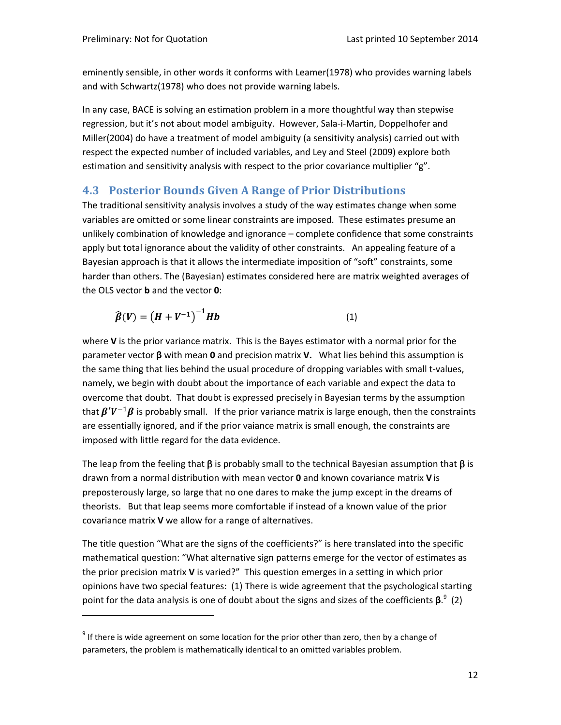eminently sensible, in other words it conforms with Leamer(1978) who provides warning labels and with Schwartz(1978) who does not provide warning labels.

In any case, BACE is solving an estimation problem in a more thoughtful way than stepwise regression, but it's not about model ambiguity. However, Sala‐i‐Martin, Doppelhofer and Miller(2004) do have a treatment of model ambiguity (a sensitivity analysis) carried out with respect the expected number of included variables, and Ley and Steel (2009) explore both estimation and sensitivity analysis with respect to the prior covariance multiplier "g".

# **4.3 Posterior Bounds Given A Range of Prior Distributions**

The traditional sensitivity analysis involves a study of the way estimates change when some variables are omitted or some linear constraints are imposed. These estimates presume an unlikely combination of knowledge and ignorance – complete confidence that some constraints apply but total ignorance about the validity of other constraints. An appealing feature of a Bayesian approach is that it allows the intermediate imposition of "soft" constraints, some harder than others. The (Bayesian) estimates considered here are matrix weighted averages of the OLS vector **b** and the vector **0**:

$$
\widehat{\beta}(V) = (H + V^{-1})^{-1} Hb \tag{1}
$$

where **V** is the prior variance matrix. This is the Bayes estimator with a normal prior for the parameter vector **β** with mean **0** and precision matrix **V.** What lies behind this assumption is the same thing that lies behind the usual procedure of dropping variables with small t‐values, namely, we begin with doubt about the importance of each variable and expect the data to overcome that doubt. That doubt is expressed precisely in Bayesian terms by the assumption that  $\beta'V^{-1}\beta$  is probably small. If the prior variance matrix is large enough, then the constraints are essentially ignored, and if the prior vaiance matrix is small enough, the constraints are imposed with little regard for the data evidence.

The leap from the feeling that  $\beta$  is probably small to the technical Bayesian assumption that  $\beta$  is drawn from a normal distribution with mean vector **0** and known covariance matrix **V**is preposterously large, so large that no one dares to make the jump except in the dreams of theorists. But that leap seems more comfortable if instead of a known value of the prior covariance matrix **V** we allow for a range of alternatives.

The title question "What are the signs of the coefficients?" is here translated into the specific mathematical question: "What alternative sign patterns emerge for the vector of estimates as the prior precision matrix **V** is varied?" This question emerges in a setting in which prior opinions have two special features: (1) There is wide agreement that the psychological starting point for the data analysis is one of doubt about the signs and sizes of the coefficients **β**. 9 (2)

 $9$  If there is wide agreement on some location for the prior other than zero, then by a change of parameters, the problem is mathematically identical to an omitted variables problem.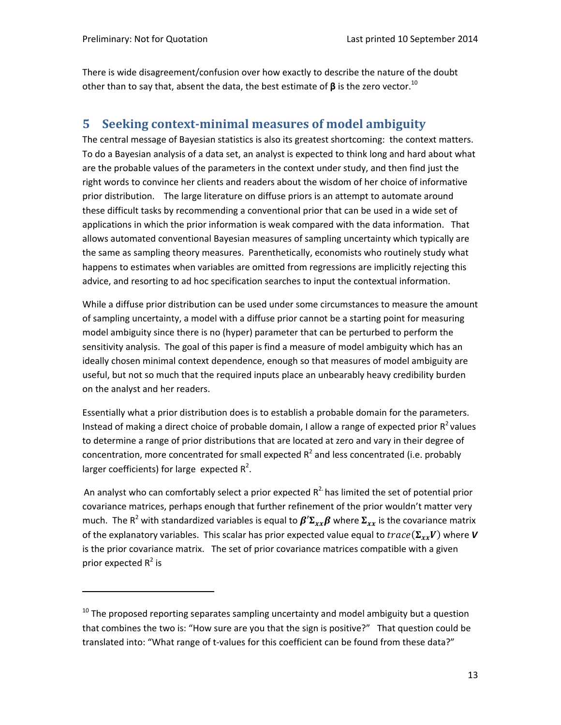There is wide disagreement/confusion over how exactly to describe the nature of the doubt other than to say that, absent the data, the best estimate of  $\beta$  is the zero vector.<sup>10</sup>

# **5 Seeking context‐minimal measures of model ambiguity**

The central message of Bayesian statistics is also its greatest shortcoming: the context matters. To do a Bayesian analysis of a data set, an analyst is expected to think long and hard about what are the probable values of the parameters in the context under study, and then find just the right words to convince her clients and readers about the wisdom of her choice of informative prior distribution. The large literature on diffuse priors is an attempt to automate around these difficult tasks by recommending a conventional prior that can be used in a wide set of applications in which the prior information is weak compared with the data information. That allows automated conventional Bayesian measures of sampling uncertainty which typically are the same as sampling theory measures. Parenthetically, economists who routinely study what happens to estimates when variables are omitted from regressions are implicitly rejecting this advice, and resorting to ad hoc specification searches to input the contextual information.

While a diffuse prior distribution can be used under some circumstances to measure the amount of sampling uncertainty, a model with a diffuse prior cannot be a starting point for measuring model ambiguity since there is no (hyper) parameter that can be perturbed to perform the sensitivity analysis. The goal of this paper is find a measure of model ambiguity which has an ideally chosen minimal context dependence, enough so that measures of model ambiguity are useful, but not so much that the required inputs place an unbearably heavy credibility burden on the analyst and her readers.

Essentially what a prior distribution does is to establish a probable domain for the parameters. Instead of making a direct choice of probable domain, I allow a range of expected prior  $R^2$  values to determine a range of prior distributions that are located at zero and vary in their degree of concentration, more concentrated for small expected  $R^2$  and less concentrated (i.e. probably larger coefficients) for large expected  $R^2$ .

An analyst who can comfortably select a prior expected  $R^2$  has limited the set of potential prior covariance matrices, perhaps enough that further refinement of the prior wouldn't matter very much. The R<sup>2</sup> with standardized variables is equal to  $\beta' \Sigma_{xx} \beta$  where  $\Sigma_{xx}$  is the covariance matrix of the explanatory variables. This scalar has prior expected value equal to  $trace(\Sigma_{xx}V)$  where *V* is the prior covariance matrix. The set of prior covariance matrices compatible with a given prior expected  $R^2$  is

 $10$  The proposed reporting separates sampling uncertainty and model ambiguity but a question that combines the two is: "How sure are you that the sign is positive?" That question could be translated into: "What range of t-values for this coefficient can be found from these data?"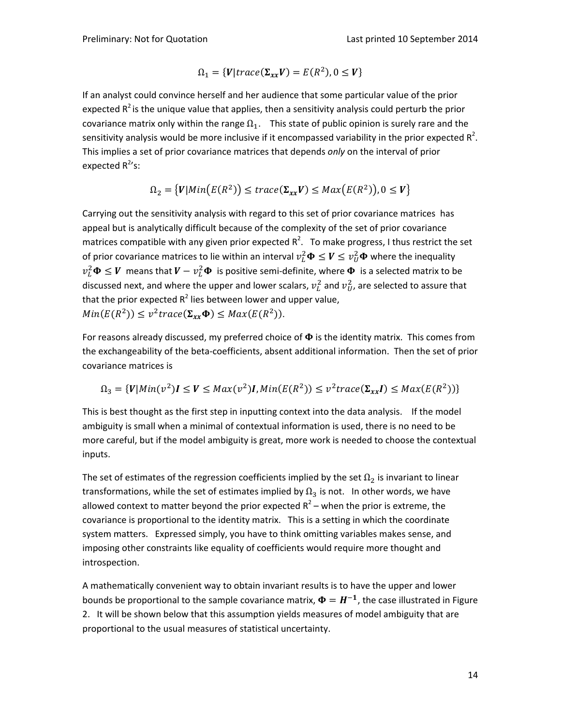$$
\Omega_1 = \{V | trace(\Sigma_{xx} V) = E(R^2), 0 \le V\}
$$

If an analyst could convince herself and her audience that some particular value of the prior expected  $R^2$  is the unique value that applies, then a sensitivity analysis could perturb the prior covariance matrix only within the range  $\Omega_1$ . This state of public opinion is surely rare and the sensitivity analysis would be more inclusive if it encompassed variability in the prior expected  $\mathsf{R}^2$ . This implies a set of prior covariance matrices that depends *only* on the interval of prior expected R<sup>2</sup>'s:

$$
\Omega_2 = \{V | Min(E(R^2)) \le trace(\Sigma_{xx}V) \le Max(E(R^2)), 0 \le V\}
$$

Carrying out the sensitivity analysis with regard to this set of prior covariance matrices has appeal but is analytically difficult because of the complexity of the set of prior covariance matrices compatible with any given prior expected  $R^2$ . To make progress, I thus restrict the set of prior covariance matrices to lie within an interval  $v_L^2 \bm{\Phi} \leq \bm{V} \leq v_U^2 \bm{\Phi}$  where the inequality  $v_L^2\bm{\Phi}\leq \bm{V}$  means that  $\bm{V}-v_L^2\bm{\Phi}$  is positive semi-definite, where  $\bm{\Phi}$  is a selected matrix to be discussed next, and where the upper and lower scalars,  $v_L^2$  and  $v_U^2$ , are selected to assure that that the prior expected  $R^2$  lies between lower and upper value,  $Min(E(R^2)) \leq v^2 trace(\Sigma_{xx} \Phi) \leq Max(E(R^2)).$ 

For reasons already discussed, my preferred choice of  $\Phi$  is the identity matrix. This comes from the exchangeability of the beta‐coefficients, absent additional information. Then the set of prior covariance matrices is

$$
\Omega_3 = \{V | Min(v^2)I \le V \le Max(v^2)I, Min(E(R^2)) \le v^2 trace(\Sigma_{xx}I) \le Max(E(R^2))\}
$$

This is best thought as the first step in inputting context into the data analysis. If the model ambiguity is small when a minimal of contextual information is used, there is no need to be more careful, but if the model ambiguity is great, more work is needed to choose the contextual inputs.

The set of estimates of the regression coefficients implied by the set  $\Omega_2$  is invariant to linear transformations, while the set of estimates implied by  $\Omega_3$  is not. In other words, we have allowed context to matter beyond the prior expected  $R^2$  – when the prior is extreme, the covariance is proportional to the identity matrix. This is a setting in which the coordinate system matters. Expressed simply, you have to think omitting variables makes sense, and imposing other constraints like equality of coefficients would require more thought and introspection.

A mathematically convenient way to obtain invariant results is to have the upper and lower bounds be proportional to the sample covariance matrix,  $\Phi = H^{-1}$ , the case illustrated in Figure 2. It will be shown below that this assumption yields measures of model ambiguity that are proportional to the usual measures of statistical uncertainty.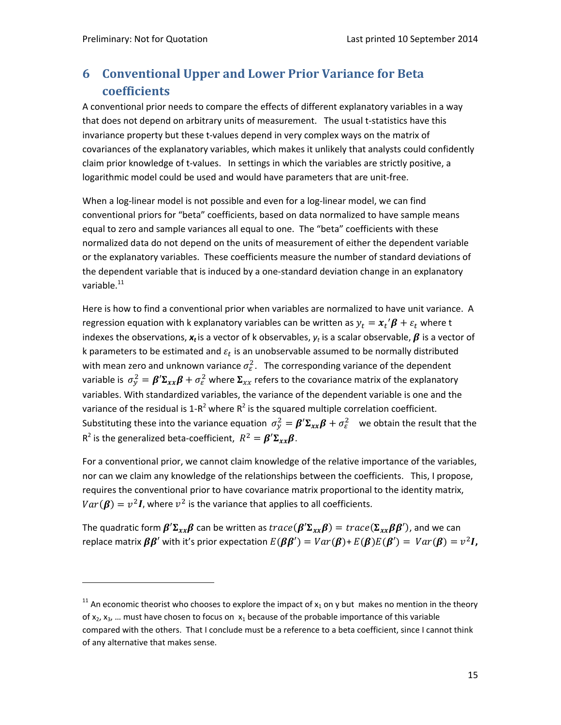# **6 Conventional Upper and Lower Prior Variance for Beta coefficients**

A conventional prior needs to compare the effects of different explanatory variables in a way that does not depend on arbitrary units of measurement. The usual t‐statistics have this invariance property but these t‐values depend in very complex ways on the matrix of covariances of the explanatory variables, which makes it unlikely that analysts could confidently claim prior knowledge of t-values. In settings in which the variables are strictly positive, a logarithmic model could be used and would have parameters that are unit‐free.

When a log-linear model is not possible and even for a log-linear model, we can find conventional priors for "beta" coefficients, based on data normalized to have sample means equal to zero and sample variances all equal to one. The "beta" coefficients with these normalized data do not depend on the units of measurement of either the dependent variable or the explanatory variables. These coefficients measure the number of standard deviations of the dependent variable that is induced by a one‐standard deviation change in an explanatory variable.<sup>11</sup>

Here is how to find a conventional prior when variables are normalized to have unit variance. A regression equation with k explanatory variables can be written as  $y_t = x_t' \boldsymbol{\beta} + \varepsilon_t$  where t indexes the observations,  $x_t$  is a vector of k observables,  $y_t$  is a scalar observable,  $\beta$  is a vector of k parameters to be estimated and  $\varepsilon_t$  is an unobservable assumed to be normally distributed with mean zero and unknown variance  $\sigma_{\varepsilon}^2$ . The corresponding variance of the dependent variable is  $\sigma^2_{y}=\pmb{\beta}'\pmb{\Sigma}_{xx}\pmb{\beta}+\sigma^2_{\varepsilon}$  where  $\pmb{\Sigma}_{xx}$  refers to the covariance matrix of the explanatory variables. With standardized variables, the variance of the dependent variable is one and the variance of the residual is 1- $R^2$  where  $R^2$  is the squared multiple correlation coefficient. Substituting these into the variance equation  $\sigma_y^2 = \beta' \Sigma_{xx} \beta + \sigma_\varepsilon^2$  we obtain the result that the  $R^2$  is the generalized beta-coefficient,  $R^2 = \beta' \Sigma_{xx} \beta$ .

For a conventional prior, we cannot claim knowledge of the relative importance of the variables, nor can we claim any knowledge of the relationships between the coefficients. This, I propose, requires the conventional prior to have covariance matrix proportional to the identity matrix,  $Var(\beta) = v^2 I$ , where  $v^2$  is the variance that applies to all coefficients.

The quadratic form  $\beta' \Sigma_{xx} \beta$  can be written as  $trace(\beta' \Sigma_{xx} \beta) = trace(\Sigma_{xx} \beta \beta')$ , and we can replace matrix  $\beta \beta'$  with it's prior expectation  $E(\beta \beta') = Var(\beta) + E(\beta)E(\beta') = Var(\beta) = v^2 I$ ,

<sup>&</sup>lt;sup>11</sup> An economic theorist who chooses to explore the impact of  $x_1$  on y but makes no mention in the theory of  $x_2$ ,  $x_3$ , ... must have chosen to focus on  $x_1$  because of the probable importance of this variable compared with the others. That I conclude must be a reference to a beta coefficient, since I cannot think of any alternative that makes sense.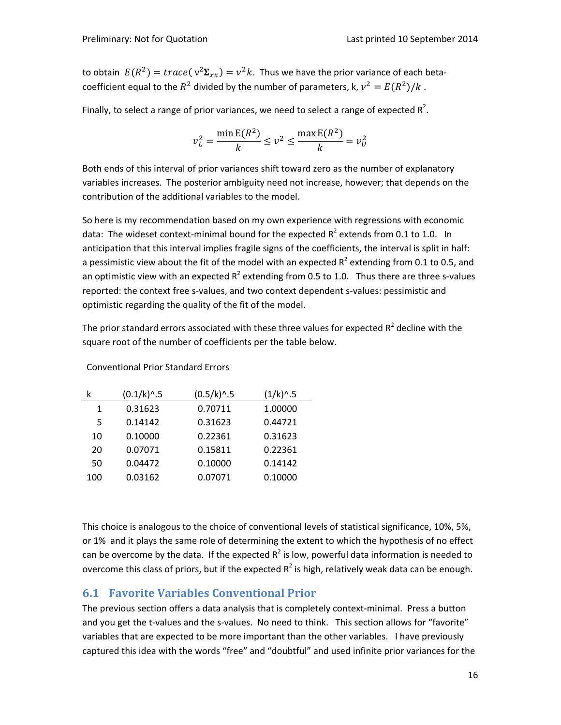to obtain  $E(R^2) = trace(v^2\Sigma_{rr}) = v^2k$ . Thus we have the prior variance of each betacoefficient equal to the  $R^2$  divided by the number of parameters, k,  $v^2 = E(R^2)/k$ .

Finally, to select a range of prior variances, we need to select a range of expected  $R^2$ .

$$
v_L^2 = \frac{\min E(R^2)}{k} \le v^2 \le \frac{\max E(R^2)}{k} = v_U^2
$$

Both ends of this interval of prior variances shift toward zero as the number of explanatory variables increases. The posterior ambiguity need not increase, however; that depends on the contribution of the additional variables to the model.

So here is my recommendation based on my own experience with regressions with economic data: The wideset context-minimal bound for the expected  $R^2$  extends from 0.1 to 1.0. In anticipation that this interval implies fragile signs of the coefficients, the interval is split in half: a pessimistic view about the fit of the model with an expected  $R^2$  extending from 0.1 to 0.5, and an optimistic view with an expected  $R^2$  extending from 0.5 to 1.0. Thus there are three s-values reported: the context free s-values, and two context dependent s-values: pessimistic and optimistic regarding the quality of the fit of the model.

The prior standard errors associated with these three values for expected  $R^2$  decline with the square root of the number of coefficients per the table below.

|     | $(0.1/k)^{0.5}$ | $(0.5/k)^{0.5}$ | $(1/k)^{0.5}$ |
|-----|-----------------|-----------------|---------------|
| 1   | 0.31623         | 0.70711         | 1.00000       |
| 5   | 0.14142         | 0.31623         | 0.44721       |
| 10  | 0.10000         | 0.22361         | 0.31623       |
| 20  | 0.07071         | 0.15811         | 0.22361       |
| 50  | 0.04472         | 0.10000         | 0.14142       |
| 100 | 0.03162         | 0.07071         | 0.10000       |

Conventional Prior Standard Errors

This choice is analogous to the choice of conventional levels of statistical significance, 10%, 5%, or 1% and it plays the same role of determining the extent to which the hypothesis of no effect can be overcome by the data. If the expected  $R^2$  is low, powerful data information is needed to overcome this class of priors, but if the expected  $R^2$  is high, relatively weak data can be enough.

# **6.1 Favorite Variables Conventional Prior**

The previous section offers a data analysis that is completely context-minimal. Press a button and you get the t-values and the s-values. No need to think. This section allows for "favorite" variables that are expected to be more important than the other variables. I have previously captured this idea with the words "free" and "doubtful" and used infinite prior variances for the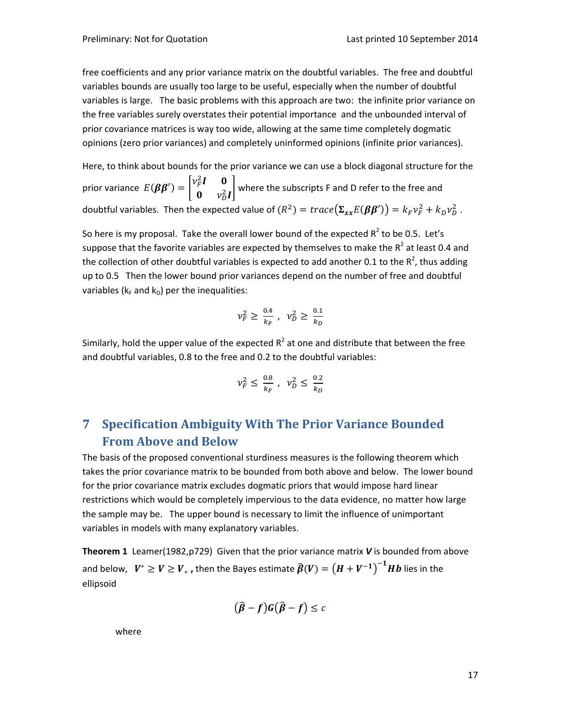free coefficients and any prior variance matrix on the doubtful variables. The free and doubtful variables bounds are usually too large to be useful, especially when the number of doubtful variables is large. The basic problems with this approach are two: the infinite prior variance on the free variables surely overstates their potential importance and the unbounded interval of prior covariance matrices is way too wide, allowing at the same time completely dogmatic opinions (zero prior variances) and completely uninformed opinions (infinite prior variances).

Here, to think about bounds for the prior variance we can use a block diagonal structure for the prior variance  $E(\beta \beta') = \begin{bmatrix} v_F^2 I & 0 \\ 0 & v_F^2 \end{bmatrix}$  $\begin{bmatrix} \mu & \nu \\ \nu_D^2 & \nu_D^2 \end{bmatrix}$  where the subscripts F and D refer to the free and doubtful variables. Then the expected value of  $(R^2) = trace(\Sigma_{xx}E(\beta \beta')) = k_F v_F^2 + k_D v_D^2$ .

So here is my proposal. Take the overall lower bound of the expected  $R^2$  to be 0.5. Let's suppose that the favorite variables are expected by themselves to make the  $R^2$  at least 0.4 and the collection of other doubtful variables is expected to add another 0.1 to the  $R^2$ , thus adding up to 0.5 Then the lower bound prior variances depend on the number of free and doubtful variables ( $k_F$  and  $k_D$ ) per the inequalities:

$$
\nu_F^2 \ge \frac{0.4}{k_F} \; , \; \; \nu_D^2 \ge \frac{0.1}{k_D}
$$

Similarly, hold the upper value of the expected  $R^2$  at one and distribute that between the free and doubtful variables, 0.8 to the free and 0.2 to the doubtful variables:

$$
\nu_F^2 \leq \, \tfrac{0.8}{k_F} \; , \; \, \nu_D^2 \leq \, \tfrac{0.2}{k_D}
$$

# **7 Specification Ambiguity With The Prior Variance Bounded From Above and Below**

The basis of the proposed conventional sturdiness measures is the following theorem which takes the prior covariance matrix to be bounded from both above and below. The lower bound for the prior covariance matrix excludes dogmatic priors that would impose hard linear restrictions which would be completely impervious to the data evidence, no matter how large the sample may be. The upper bound is necessary to limit the influence of unimportant variables in models with many explanatory variables.

**Theorem 1** Leamer(1982,p729) Given that the prior variance matrix *V* is bounded from above and below,  $\;\;V^*\geq V\geq V_*$  , then the Bayes estimate  $\widehat{\pmb{\beta}}(V)=\left(H+V^{-1}\right)^{-1}\pmb{H}\pmb{b}$  lies in the ellipsoid

$$
(\widehat{\beta}-f)G(\widehat{\beta}-f)\leq c
$$

where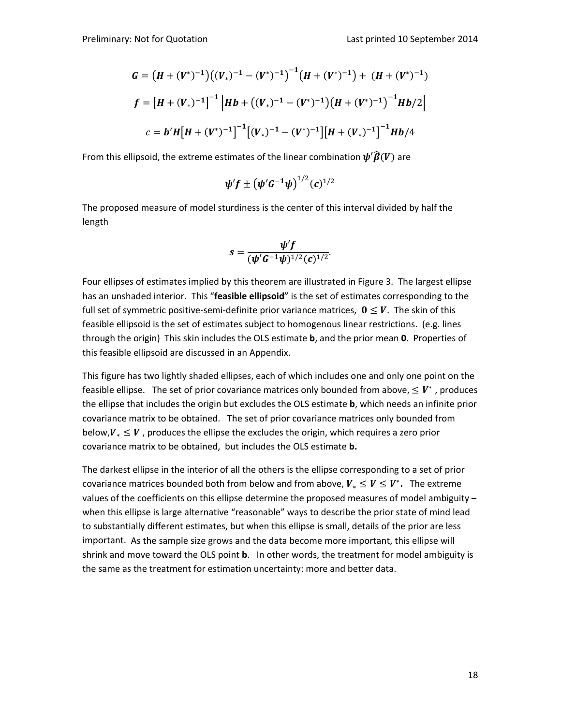$$
G = (H + (V^*)^{-1})((V_*)^{-1} - (V^*)^{-1})^{-1}(H + (V^*)^{-1}) + (H + (V^*)^{-1})
$$
  

$$
f = [H + (V_*)^{-1}]^{-1}[Hb + ((V_*)^{-1} - (V^*)^{-1})(H + (V^*)^{-1})^{-1}Hb/2]
$$
  

$$
c = b'H[H + (V^*)^{-1}]^{-1}[(V_*)^{-1} - (V^*)^{-1}][H + (V_*)^{-1}]^{-1}Hb/4
$$

From this ellipsoid, the extreme estimates of the linear combination  $\boldsymbol{\psi}'\boldsymbol{\widehat{\beta}}(V)$  are

$$
\psi' f \pm (\psi' G^{-1} \psi)^{1/2} (c)^{1/2}
$$

The proposed measure of model sturdiness is the center of this interval divided by half the length

$$
s=\frac{\psi'f}{(\psi'G^{-1}\psi)^{1/2}(c)^{1/2}}.
$$

Four ellipses of estimates implied by this theorem are illustrated in Figure 3. The largest ellipse has an unshaded interior. This "**feasible ellipsoid**" is the set of estimates corresponding to the full set of symmetric positive-semi-definite prior variance matrices,  $0 \leq V$ . The skin of this feasible ellipsoid is the set of estimates subject to homogenous linear restrictions. (e.g. lines through the origin) This skin includes the OLS estimate **b**, and the prior mean **0**. Properties of this feasible ellipsoid are discussed in an Appendix.

This figure has two lightly shaded ellipses, each of which includes one and only one point on the feasible ellipse. The set of prior covariance matrices only bounded from above,  $\leq V^*$ , produces the ellipse that includes the origin but excludes the OLS estimate **b**, which needs an infinite prior covariance matrix to be obtained. The set of prior covariance matrices only bounded from below, $V_* \leq V$ , produces the ellipse the excludes the origin, which requires a zero prior covariance matrix to be obtained, but includes the OLS estimate **b.** 

The darkest ellipse in the interior of all the others is the ellipse corresponding to a set of prior covariance matrices bounded both from below and from above,  $V_* \leq V \leq V^*$ . The extreme values of the coefficients on this ellipse determine the proposed measures of model ambiguity when this ellipse is large alternative "reasonable" ways to describe the prior state of mind lead to substantially different estimates, but when this ellipse is small, details of the prior are less important. As the sample size grows and the data become more important, this ellipse will shrink and move toward the OLS point **b**. In other words, the treatment for model ambiguity is the same as the treatment for estimation uncertainty: more and better data.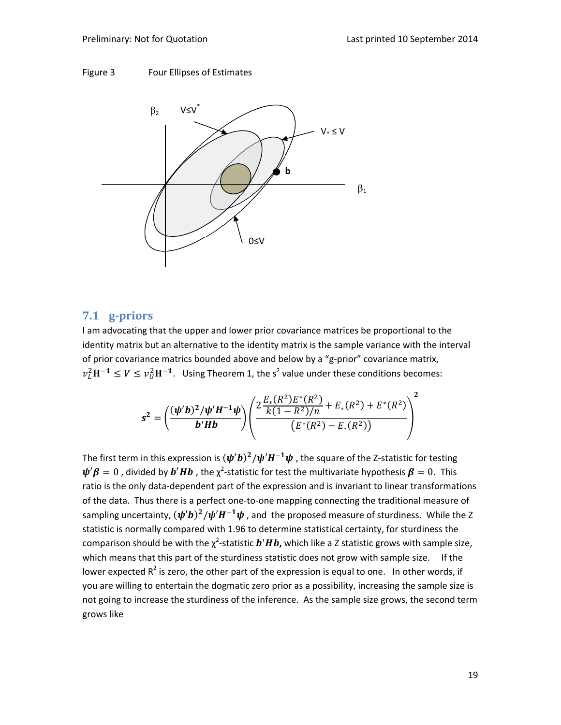



# **7.1 g‐priors**

I am advocating that the upper and lower prior covariance matrices be proportional to the identity matrix but an alternative to the identity matrix is the sample variance with the interval of prior covariance matrics bounded above and below by a "g‐prior" covariance matrix,  $v_L^2 H^{-1} \leq V \leq v_U^2 H^{-1}$ . Using Theorem 1, the s<sup>2</sup> value under these conditions becomes:

$$
s^{2} = \left(\frac{(\psi'b)^{2}/\psi'H^{-1}\psi}{b'Hb}\right)\left(\frac{2\frac{E_{*}(R^{2})E^{*}(R^{2})}{k(1-R^{2})/n} + E_{*}(R^{2}) + E^{*}(R^{2})}{(E^{*}(R^{2}) - E_{*}(R^{2}))}\right)^{2}
$$

The first term in this expression is  $(\psi' b)^2 / \psi' H^{-1} \psi$ , the square of the Z-statistic for testing  $\bm{\psi}'\bm{\beta}=0$  , divided by  $\bm{b}'\bm{H}\bm{b}$  , the  $\chi^2$ -statistic for test the multivariate hypothesis  $\bm{\beta}=0$ . This ratio is the only data-dependent part of the expression and is invariant to linear transformations of the data. Thus there is a perfect one‐to‐one mapping connecting the traditional measure of sampling uncertainty,  $(\psi' b)^2 / \psi' H^{-1} \psi$ , and the proposed measure of sturdiness. While the Z statistic is normally compared with 1.96 to determine statistical certainty, for sturdiness the comparison should be with the  $\chi^2$ -statistic  $\bm{b}'\bm{H}\bm{b}$ , which like a Z statistic grows with sample size, which means that this part of the sturdiness statistic does not grow with sample size. If the lower expected  $R^2$  is zero, the other part of the expression is equal to one. In other words, if you are willing to entertain the dogmatic zero prior as a possibility, increasing the sample size is not going to increase the sturdiness of the inference. As the sample size grows, the second term grows like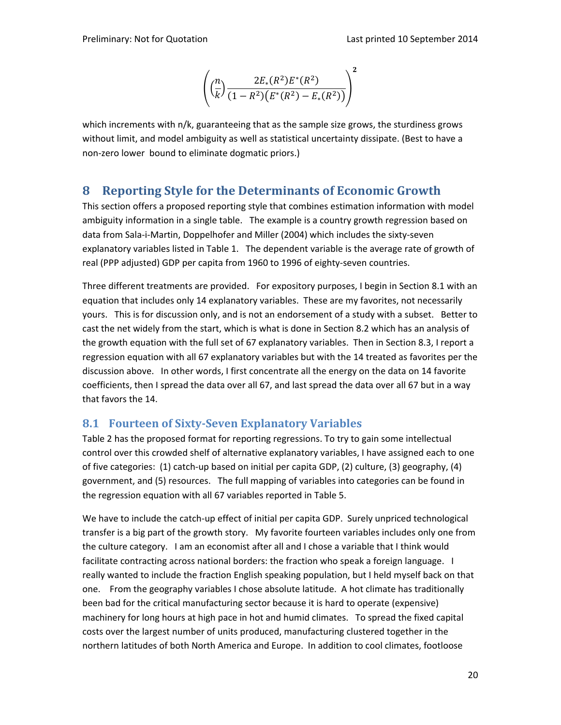$$
\left( \left( \frac{n}{k} \right) \frac{2E_*(R^2)E^*(R^2)}{(1 - R^2)(E^*(R^2) - E_*(R^2))} \right)^2
$$

which increments with n/k, guaranteeing that as the sample size grows, the sturdiness grows without limit, and model ambiguity as well as statistical uncertainty dissipate. (Best to have a non‐zero lower bound to eliminate dogmatic priors.)

# **8 Reporting Style for the Determinants of Economic Growth**

This section offers a proposed reporting style that combines estimation information with model ambiguity information in a single table. The example is a country growth regression based on data from Sala-i-Martin, Doppelhofer and Miller (2004) which includes the sixty-seven explanatory variables listed in Table 1. The dependent variable is the average rate of growth of real (PPP adjusted) GDP per capita from 1960 to 1996 of eighty-seven countries.

Three different treatments are provided. For expository purposes, I begin in Section 8.1 with an equation that includes only 14 explanatory variables. These are my favorites, not necessarily yours. This is for discussion only, and is not an endorsement of a study with a subset. Better to cast the net widely from the start, which is what is done in Section 8.2 which has an analysis of the growth equation with the full set of 67 explanatory variables. Then in Section 8.3, I report a regression equation with all 67 explanatory variables but with the 14 treated as favorites per the discussion above. In other words, I first concentrate all the energy on the data on 14 favorite coefficients, then I spread the data over all 67, and last spread the data over all 67 but in a way that favors the 14.

## **8.1 Fourteen of Sixty‐Seven Explanatory Variables**

Table 2 has the proposed format for reporting regressions. To try to gain some intellectual control over this crowded shelf of alternative explanatory variables, I have assigned each to one of five categories: (1) catch‐up based on initial per capita GDP, (2) culture, (3) geography, (4) government, and (5) resources. The full mapping of variables into categories can be found in the regression equation with all 67 variables reported in Table 5.

We have to include the catch‐up effect of initial per capita GDP. Surely unpriced technological transfer is a big part of the growth story. My favorite fourteen variables includes only one from the culture category. I am an economist after all and I chose a variable that I think would facilitate contracting across national borders: the fraction who speak a foreign language. I really wanted to include the fraction English speaking population, but I held myself back on that one. From the geography variables I chose absolute latitude. A hot climate has traditionally been bad for the critical manufacturing sector because it is hard to operate (expensive) machinery for long hours at high pace in hot and humid climates. To spread the fixed capital costs over the largest number of units produced, manufacturing clustered together in the northern latitudes of both North America and Europe. In addition to cool climates, footloose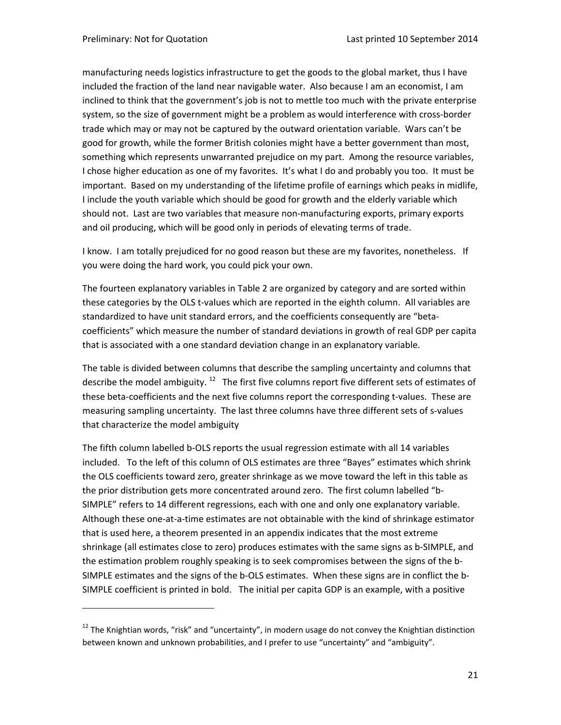manufacturing needs logistics infrastructure to get the goods to the global market, thus I have included the fraction of the land near navigable water. Also because I am an economist, I am inclined to think that the government's job is not to mettle too much with the private enterprise system, so the size of government might be a problem as would interference with cross‐border trade which may or may not be captured by the outward orientation variable. Wars can't be good for growth, while the former British colonies might have a better government than most, something which represents unwarranted prejudice on my part. Among the resource variables, I chose higher education as one of my favorites. It's what I do and probably you too. It must be important. Based on my understanding of the lifetime profile of earnings which peaks in midlife, I include the youth variable which should be good for growth and the elderly variable which should not. Last are two variables that measure non-manufacturing exports, primary exports and oil producing, which will be good only in periods of elevating terms of trade.

I know. I am totally prejudiced for no good reason but these are my favorites, nonetheless. If you were doing the hard work, you could pick your own.

The fourteen explanatory variables in Table 2 are organized by category and are sorted within these categories by the OLS t-values which are reported in the eighth column. All variables are standardized to have unit standard errors, and the coefficients consequently are "beta‐ coefficients" which measure the number of standard deviations in growth of real GDP per capita that is associated with a one standard deviation change in an explanatory variable.

The table is divided between columns that describe the sampling uncertainty and columns that describe the model ambiguity.  $^{12}$  The first five columns report five different sets of estimates of these beta‐coefficients and the next five columns report the corresponding t‐values. These are measuring sampling uncertainty. The last three columns have three different sets of s‐values that characterize the model ambiguity

The fifth column labelled b‐OLS reports the usual regression estimate with all 14 variables included. To the left of this column of OLS estimates are three "Bayes" estimates which shrink the OLS coefficients toward zero, greater shrinkage as we move toward the left in this table as the prior distribution gets more concentrated around zero. The first column labelled "b‐ SIMPLE" refers to 14 different regressions, each with one and only one explanatory variable. Although these one‐at‐a‐time estimates are not obtainable with the kind of shrinkage estimator that is used here, a theorem presented in an appendix indicates that the most extreme shrinkage (all estimates close to zero) produces estimates with the same signs as b‐SIMPLE, and the estimation problem roughly speaking is to seek compromises between the signs of the b‐ SIMPLE estimates and the signs of the b-OLS estimates. When these signs are in conflict the b-SIMPLE coefficient is printed in bold. The initial per capita GDP is an example, with a positive

 $12$  The Knightian words, "risk" and "uncertainty", in modern usage do not convey the Knightian distinction between known and unknown probabilities, and I prefer to use "uncertainty" and "ambiguity".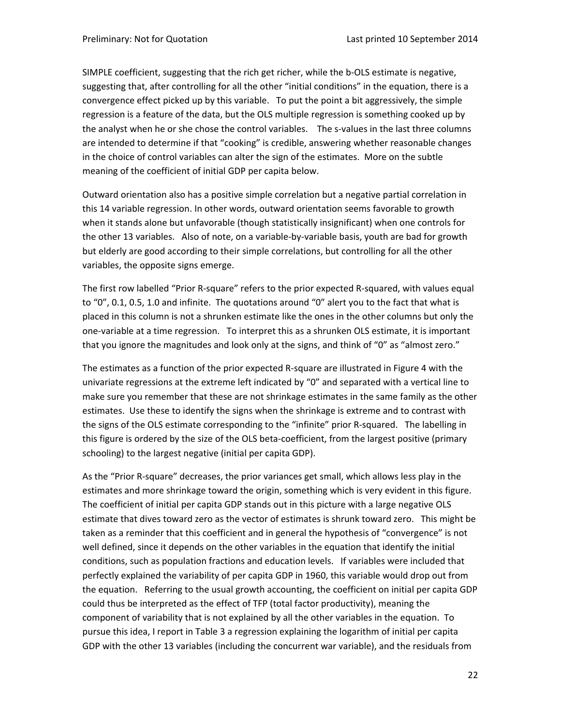SIMPLE coefficient, suggesting that the rich get richer, while the b‐OLS estimate is negative, suggesting that, after controlling for all the other "initial conditions" in the equation, there is a convergence effect picked up by this variable. To put the point a bit aggressively, the simple regression is a feature of the data, but the OLS multiple regression is something cooked up by the analyst when he or she chose the control variables. The s-values in the last three columns are intended to determine if that "cooking" is credible, answering whether reasonable changes in the choice of control variables can alter the sign of the estimates. More on the subtle meaning of the coefficient of initial GDP per capita below.

Outward orientation also has a positive simple correlation but a negative partial correlation in this 14 variable regression. In other words, outward orientation seems favorable to growth when it stands alone but unfavorable (though statistically insignificant) when one controls for the other 13 variables. Also of note, on a variable‐by‐variable basis, youth are bad for growth but elderly are good according to their simple correlations, but controlling for all the other variables, the opposite signs emerge.

The first row labelled "Prior R‐square" refers to the prior expected R‐squared, with values equal to "0", 0.1, 0.5, 1.0 and infinite. The quotations around "0" alert you to the fact that what is placed in this column is not a shrunken estimate like the ones in the other columns but only the one‐variable at a time regression. To interpret this as a shrunken OLS estimate, it is important that you ignore the magnitudes and look only at the signs, and think of "0" as "almost zero."

The estimates as a function of the prior expected R‐square are illustrated in Figure 4 with the univariate regressions at the extreme left indicated by "0" and separated with a vertical line to make sure you remember that these are not shrinkage estimates in the same family as the other estimates. Use these to identify the signs when the shrinkage is extreme and to contrast with the signs of the OLS estimate corresponding to the "infinite" prior R-squared. The labelling in this figure is ordered by the size of the OLS beta‐coefficient, from the largest positive (primary schooling) to the largest negative (initial per capita GDP).

As the "Prior R‐square" decreases, the prior variances get small, which allows less play in the estimates and more shrinkage toward the origin, something which is very evident in this figure. The coefficient of initial per capita GDP stands out in this picture with a large negative OLS estimate that dives toward zero as the vector of estimates is shrunk toward zero. This might be taken as a reminder that this coefficient and in general the hypothesis of "convergence" is not well defined, since it depends on the other variables in the equation that identify the initial conditions, such as population fractions and education levels. If variables were included that perfectly explained the variability of per capita GDP in 1960, this variable would drop out from the equation. Referring to the usual growth accounting, the coefficient on initial per capita GDP could thus be interpreted as the effect of TFP (total factor productivity), meaning the component of variability that is not explained by all the other variables in the equation. To pursue this idea, I report in Table 3 a regression explaining the logarithm of initial per capita GDP with the other 13 variables (including the concurrent war variable), and the residuals from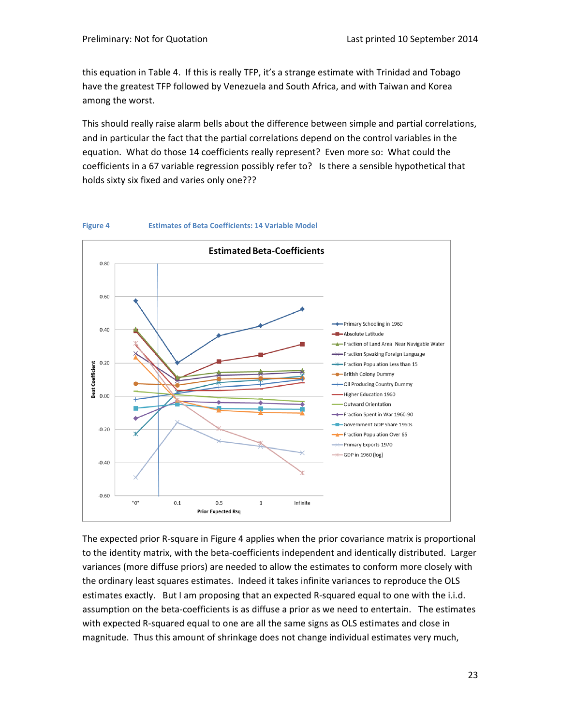this equation in Table 4. If this is really TFP, it's a strange estimate with Trinidad and Tobago have the greatest TFP followed by Venezuela and South Africa, and with Taiwan and Korea among the worst.

This should really raise alarm bells about the difference between simple and partial correlations, and in particular the fact that the partial correlations depend on the control variables in the equation. What do those 14 coefficients really represent? Even more so: What could the coefficients in a 67 variable regression possibly refer to? Is there a sensible hypothetical that holds sixty six fixed and varies only one???



The expected prior R‐square in Figure 4 applies when the prior covariance matrix is proportional to the identity matrix, with the beta‐coefficients independent and identically distributed. Larger variances (more diffuse priors) are needed to allow the estimates to conform more closely with the ordinary least squares estimates. Indeed it takes infinite variances to reproduce the OLS estimates exactly. But I am proposing that an expected R-squared equal to one with the i.i.d. assumption on the beta‐coefficients is as diffuse a prior as we need to entertain. The estimates with expected R-squared equal to one are all the same signs as OLS estimates and close in magnitude. Thus this amount of shrinkage does not change individual estimates very much,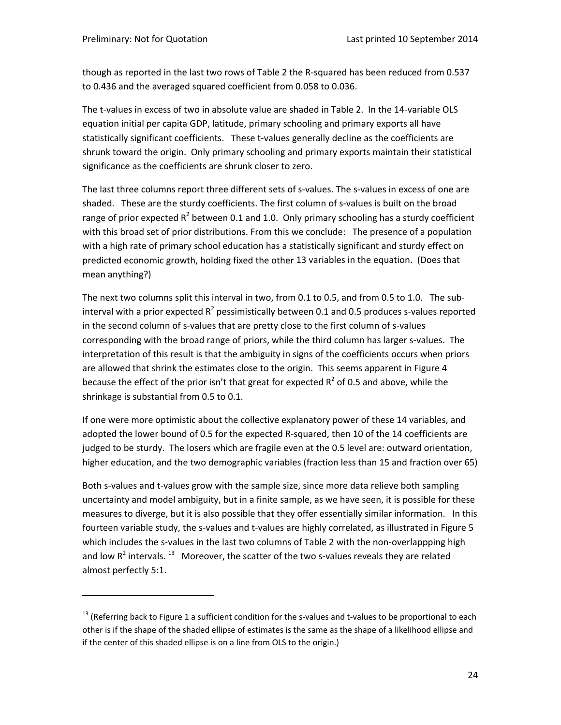though as reported in the last two rows of Table 2 the R‐squared has been reduced from 0.537 to 0.436 and the averaged squared coefficient from 0.058 to 0.036.

The t-values in excess of two in absolute value are shaded in Table 2. In the 14-variable OLS equation initial per capita GDP, latitude, primary schooling and primary exports all have statistically significant coefficients. These t‐values generally decline as the coefficients are shrunk toward the origin. Only primary schooling and primary exports maintain their statistical significance as the coefficients are shrunk closer to zero.

The last three columns report three different sets of s-values. The s-values in excess of one are shaded. These are the sturdy coefficients. The first column of s-values is built on the broad range of prior expected  $R^2$  between 0.1 and 1.0. Only primary schooling has a sturdy coefficient with this broad set of prior distributions. From this we conclude: The presence of a population with a high rate of primary school education has a statistically significant and sturdy effect on predicted economic growth, holding fixed the other 13 variables in the equation. (Does that mean anything?)

The next two columns split this interval in two, from 0.1 to 0.5, and from 0.5 to 1.0. The subinterval with a prior expected  $R^2$  pessimistically between 0.1 and 0.5 produces s-values reported in the second column of s-values that are pretty close to the first column of s-values corresponding with the broad range of priors, while the third column has larger s‐values. The interpretation of this result is that the ambiguity in signs of the coefficients occurs when priors are allowed that shrink the estimates close to the origin. This seems apparent in Figure 4 because the effect of the prior isn't that great for expected  $R^2$  of 0.5 and above, while the shrinkage is substantial from 0.5 to 0.1.

If one were more optimistic about the collective explanatory power of these 14 variables, and adopted the lower bound of 0.5 for the expected R‐squared, then 10 of the 14 coefficients are judged to be sturdy. The losers which are fragile even at the 0.5 level are: outward orientation, higher education, and the two demographic variables (fraction less than 15 and fraction over 65)

Both s-values and t-values grow with the sample size, since more data relieve both sampling uncertainty and model ambiguity, but in a finite sample, as we have seen, it is possible for these measures to diverge, but it is also possible that they offer essentially similar information. In this fourteen variable study, the s-values and t-values are highly correlated, as illustrated in Figure 5 which includes the s-values in the last two columns of Table 2 with the non-overlappping high and low  $R^2$  intervals.  $^{13}$  Moreover, the scatter of the two s-values reveals they are related almost perfectly 5:1.

 $13$  (Referring back to Figure 1 a sufficient condition for the s-values and t-values to be proportional to each other is if the shape of the shaded ellipse of estimates is the same as the shape of a likelihood ellipse and if the center of this shaded ellipse is on a line from OLS to the origin.)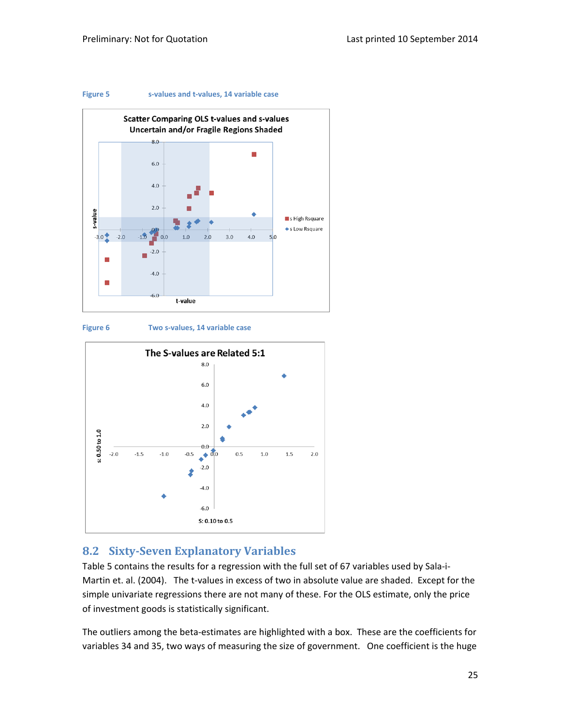





**Figure 6 Two s‐values, 14 variable case**



## **8.2 Sixty‐Seven Explanatory Variables**

Table 5 contains the results for a regression with the full set of 67 variables used by Sala‐i‐ Martin et. al. (2004). The t-values in excess of two in absolute value are shaded. Except for the simple univariate regressions there are not many of these. For the OLS estimate, only the price of investment goods is statistically significant.

The outliers among the beta‐estimates are highlighted with a box. These are the coefficients for variables 34 and 35, two ways of measuring the size of government. One coefficient is the huge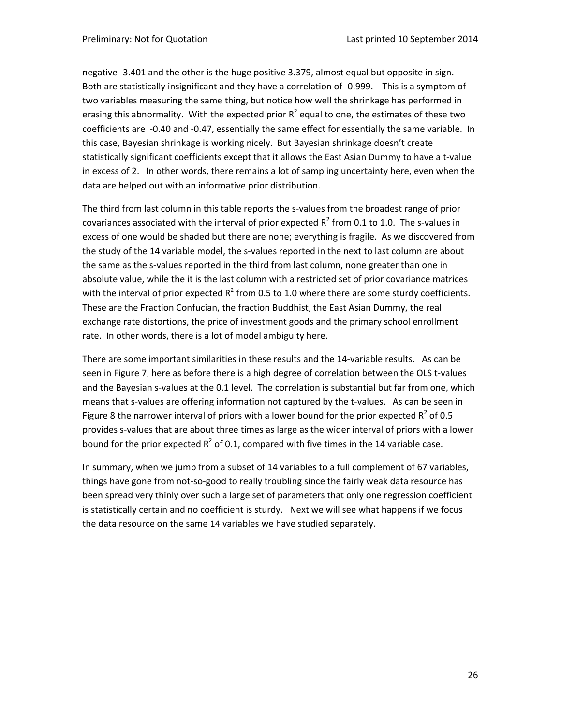negative ‐3.401 and the other is the huge positive 3.379, almost equal but opposite in sign. Both are statistically insignificant and they have a correlation of ‐0.999. This is a symptom of two variables measuring the same thing, but notice how well the shrinkage has performed in erasing this abnormality. With the expected prior  $R^2$  equal to one, the estimates of these two coefficients are ‐0.40 and ‐0.47, essentially the same effect for essentially the same variable. In this case, Bayesian shrinkage is working nicely. But Bayesian shrinkage doesn't create statistically significant coefficients except that it allows the East Asian Dummy to have a t‐value in excess of 2. In other words, there remains a lot of sampling uncertainty here, even when the data are helped out with an informative prior distribution.

The third from last column in this table reports the s-values from the broadest range of prior covariances associated with the interval of prior expected  $R^2$  from 0.1 to 1.0. The s-values in excess of one would be shaded but there are none; everything is fragile. As we discovered from the study of the 14 variable model, the s-values reported in the next to last column are about the same as the s‐values reported in the third from last column, none greater than one in absolute value, while the it is the last column with a restricted set of prior covariance matrices with the interval of prior expected  $R^2$  from 0.5 to 1.0 where there are some sturdy coefficients. These are the Fraction Confucian, the fraction Buddhist, the East Asian Dummy, the real exchange rate distortions, the price of investment goods and the primary school enrollment rate. In other words, there is a lot of model ambiguity here.

There are some important similarities in these results and the 14‐variable results. As can be seen in Figure 7, here as before there is a high degree of correlation between the OLS t-values and the Bayesian s-values at the 0.1 level. The correlation is substantial but far from one, which means that s-values are offering information not captured by the t-values. As can be seen in Figure 8 the narrower interval of priors with a lower bound for the prior expected  $R^2$  of 0.5 provides s‐values that are about three times as large as the wider interval of priors with a lower bound for the prior expected  $R^2$  of 0.1, compared with five times in the 14 variable case.

In summary, when we jump from a subset of 14 variables to a full complement of 67 variables, things have gone from not‐so‐good to really troubling since the fairly weak data resource has been spread very thinly over such a large set of parameters that only one regression coefficient is statistically certain and no coefficient is sturdy. Next we will see what happens if we focus the data resource on the same 14 variables we have studied separately.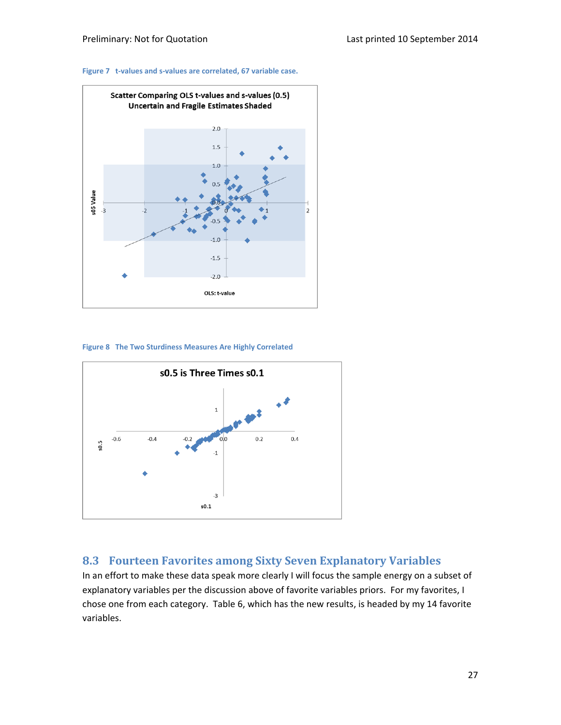#### **Figure 7 t‐values and s‐values are correlated, 67 variable case.**



**Figure 8 The Two Sturdiness Measures Are Highly Correlated**



# **8.3 Fourteen Favorites among Sixty Seven Explanatory Variables**

In an effort to make these data speak more clearly I will focus the sample energy on a subset of explanatory variables per the discussion above of favorite variables priors. For my favorites, I chose one from each category. Table 6, which has the new results, is headed by my 14 favorite variables.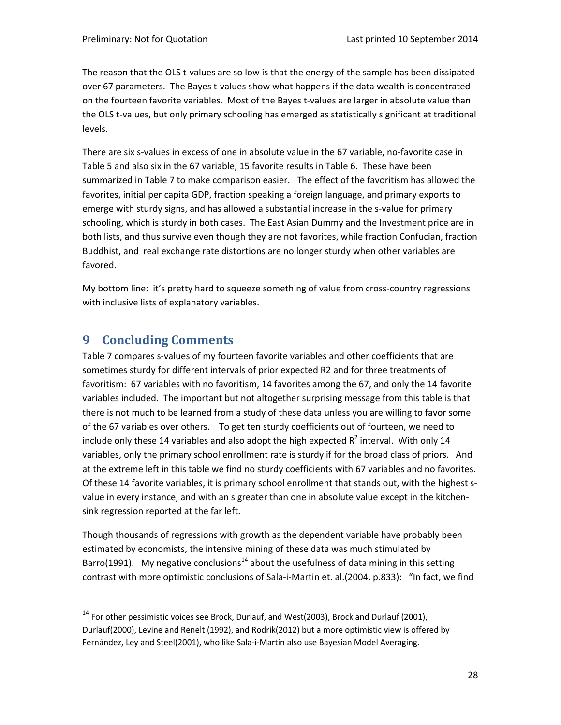The reason that the OLS t-values are so low is that the energy of the sample has been dissipated over 67 parameters. The Bayes t-values show what happens if the data wealth is concentrated on the fourteen favorite variables. Most of the Bayes t-values are larger in absolute value than the OLS t-values, but only primary schooling has emerged as statistically significant at traditional levels.

There are six s-values in excess of one in absolute value in the 67 variable, no-favorite case in Table 5 and also six in the 67 variable, 15 favorite results in Table 6. These have been summarized in Table 7 to make comparison easier. The effect of the favoritism has allowed the favorites, initial per capita GDP, fraction speaking a foreign language, and primary exports to emerge with sturdy signs, and has allowed a substantial increase in the s-value for primary schooling, which is sturdy in both cases. The East Asian Dummy and the Investment price are in both lists, and thus survive even though they are not favorites, while fraction Confucian, fraction Buddhist, and real exchange rate distortions are no longer sturdy when other variables are favored.

My bottom line: it's pretty hard to squeeze something of value from cross-country regressions with inclusive lists of explanatory variables.

# **9 Concluding Comments**

Table 7 compares s-values of my fourteen favorite variables and other coefficients that are sometimes sturdy for different intervals of prior expected R2 and for three treatments of favoritism: 67 variables with no favoritism, 14 favorites among the 67, and only the 14 favorite variables included. The important but not altogether surprising message from this table is that there is not much to be learned from a study of these data unless you are willing to favor some of the 67 variables over others. To get ten sturdy coefficients out of fourteen, we need to include only these 14 variables and also adopt the high expected  $R^2$  interval. With only 14 variables, only the primary school enrollment rate is sturdy if for the broad class of priors. And at the extreme left in this table we find no sturdy coefficients with 67 variables and no favorites. Of these 14 favorite variables, it is primary school enrollment that stands out, with the highest s‐ value in every instance, and with an s greater than one in absolute value except in the kitchensink regression reported at the far left.

Though thousands of regressions with growth as the dependent variable have probably been estimated by economists, the intensive mining of these data was much stimulated by Barro(1991). My negative conclusions<sup>14</sup> about the usefulness of data mining in this setting contrast with more optimistic conclusions of Sala‐i‐Martin et. al.(2004, p.833): "In fact, we find

<sup>&</sup>lt;sup>14</sup> For other pessimistic voices see Brock, Durlauf, and West(2003), Brock and Durlauf (2001), Durlauf(2000), Levine and Renelt (1992), and Rodrik(2012) but a more optimistic view is offered by Fernández, Ley and Steel(2001), who like Sala‐i‐Martin also use Bayesian Model Averaging.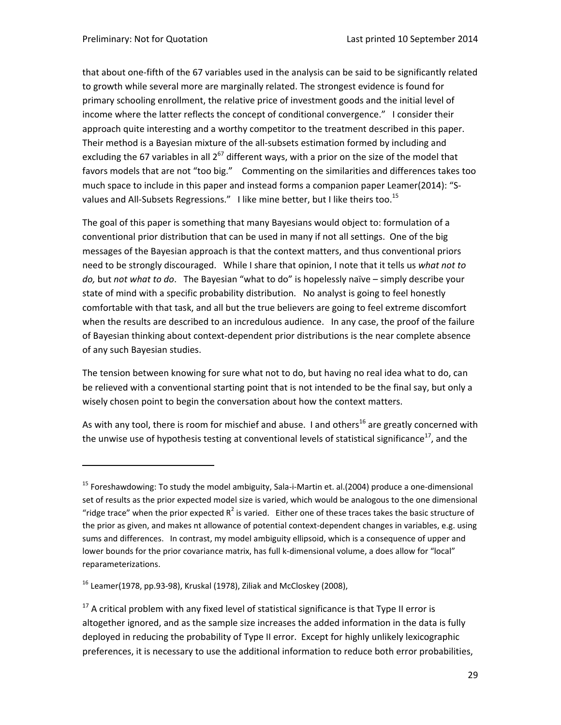that about one‐fifth of the 67 variables used in the analysis can be said to be significantly related to growth while several more are marginally related. The strongest evidence is found for primary schooling enrollment, the relative price of investment goods and the initial level of income where the latter reflects the concept of conditional convergence." I consider their approach quite interesting and a worthy competitor to the treatment described in this paper. Their method is a Bayesian mixture of the all‐subsets estimation formed by including and excluding the 67 variables in all  $2^{67}$  different ways, with a prior on the size of the model that favors models that are not "too big." Commenting on the similarities and differences takes too much space to include in this paper and instead forms a companion paper Leamer(2014): "S‐ values and All-Subsets Regressions." I like mine better, but I like theirs too.<sup>15</sup>

The goal of this paper is something that many Bayesians would object to: formulation of a conventional prior distribution that can be used in many if not all settings. One of the big messages of the Bayesian approach is that the context matters, and thus conventional priors need to be strongly discouraged. While I share that opinion, I note that it tells us *what not to do,* but *not what to do*. The Bayesian "what to do" is hopelessly naïve – simply describe your state of mind with a specific probability distribution. No analyst is going to feel honestly comfortable with that task, and all but the true believers are going to feel extreme discomfort when the results are described to an incredulous audience. In any case, the proof of the failure of Bayesian thinking about context‐dependent prior distributions is the near complete absence of any such Bayesian studies.

The tension between knowing for sure what not to do, but having no real idea what to do, can be relieved with a conventional starting point that is not intended to be the final say, but only a wisely chosen point to begin the conversation about how the context matters.

As with any tool, there is room for mischief and abuse. I and others<sup>16</sup> are greatly concerned with the unwise use of hypothesis testing at conventional levels of statistical significance<sup>17</sup>, and the

<sup>&</sup>lt;sup>15</sup> Foreshawdowing: To study the model ambiguity, Sala-i-Martin et. al.(2004) produce a one-dimensional set of results as the prior expected model size is varied, which would be analogous to the one dimensional "ridge trace" when the prior expected  $R^2$  is varied. Either one of these traces takes the basic structure of the prior as given, and makes nt allowance of potential context-dependent changes in variables, e.g. using sums and differences. In contrast, my model ambiguity ellipsoid, which is a consequence of upper and lower bounds for the prior covariance matrix, has full k-dimensional volume, a does allow for "local" reparameterizations.

 $16$  Leamer(1978, pp.93-98), Kruskal (1978), Ziliak and McCloskey (2008),

 $17$  A critical problem with any fixed level of statistical significance is that Type II error is altogether ignored, and as the sample size increases the added information in the data is fully deployed in reducing the probability of Type II error. Except for highly unlikely lexicographic preferences, it is necessary to use the additional information to reduce both error probabilities,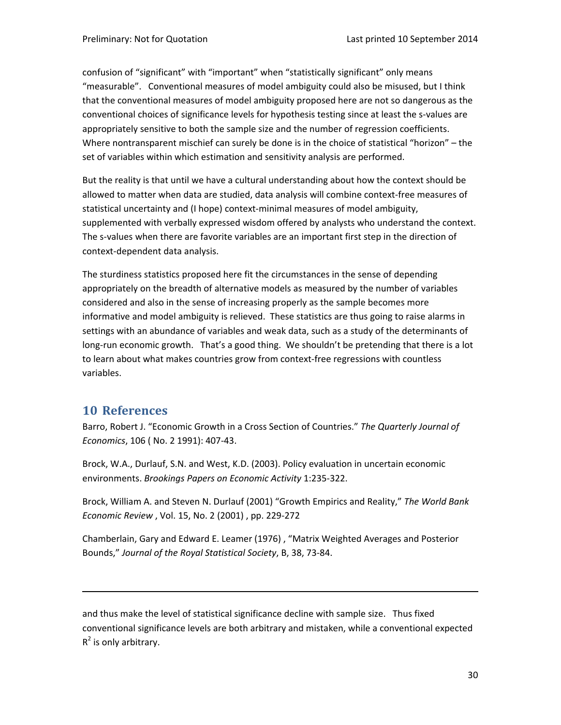confusion of "significant" with "important" when "statistically significant" only means "measurable". Conventional measures of model ambiguity could also be misused, but I think that the conventional measures of model ambiguity proposed here are not so dangerous as the conventional choices of significance levels for hypothesis testing since at least the s‐values are appropriately sensitive to both the sample size and the number of regression coefficients. Where nontransparent mischief can surely be done is in the choice of statistical "horizon" – the set of variables within which estimation and sensitivity analysis are performed.

But the reality is that until we have a cultural understanding about how the context should be allowed to matter when data are studied, data analysis will combine context‐free measures of statistical uncertainty and (I hope) context-minimal measures of model ambiguity, supplemented with verbally expressed wisdom offered by analysts who understand the context. The s-values when there are favorite variables are an important first step in the direction of context‐dependent data analysis.

The sturdiness statistics proposed here fit the circumstances in the sense of depending appropriately on the breadth of alternative models as measured by the number of variables considered and also in the sense of increasing properly as the sample becomes more informative and model ambiguity is relieved. These statistics are thus going to raise alarms in settings with an abundance of variables and weak data, such as a study of the determinants of long-run economic growth. That's a good thing. We shouldn't be pretending that there is a lot to learn about what makes countries grow from context‐free regressions with countless variables.

### **10 References**

Barro, Robert J. "Economic Growth in a Cross Section of Countries." *The Quarterly Journal of Economics*, 106 ( No. 2 1991): 407‐43.

Brock, W.A., Durlauf, S.N. and West, K.D. (2003). Policy evaluation in uncertain economic environments. *Brookings Papers on Economic Activity* 1:235‐322.

Brock, William A. and Steven N. Durlauf (2001) "Growth Empirics and Reality," *The World Bank Economic Review* , Vol. 15, No. 2 (2001) , pp. 229‐272

Chamberlain, Gary and Edward E. Leamer (1976) , "Matrix Weighted Averages and Posterior Bounds," *Journal of the Royal Statistical Society*, B, 38, 73‐84.

and thus make the level of statistical significance decline with sample size. Thus fixed conventional significance levels are both arbitrary and mistaken, while a conventional expected  $R^2$  is only arbitrary.

<u> Andreas Andreas Andreas Andreas Andreas Andreas Andreas Andreas Andreas Andreas Andreas Andreas Andreas Andr</u>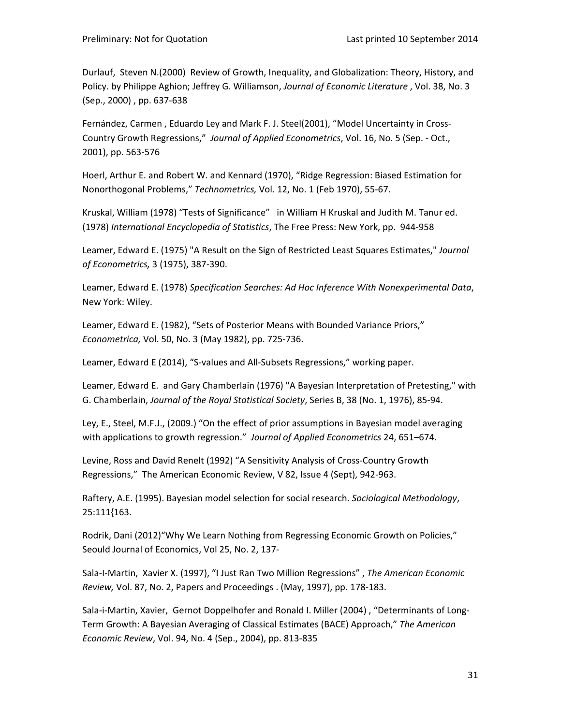Durlauf, Steven N.(2000) Review of Growth, Inequality, and Globalization: Theory, History, and Policy. by Philippe Aghion; Jeffrey G. Williamson, *Journal of Economic Literature* , Vol. 38, No. 3 (Sep., 2000) , pp. 637‐638

Fernández, Carmen , Eduardo Ley and Mark F. J. Steel(2001), "Model Uncertainty in Cross‐ Country Growth Regressions," *Journal of Applied Econometrics*, Vol. 16, No. 5 (Sep. ‐ Oct., 2001), pp. 563‐576

Hoerl, Arthur E. and Robert W. and Kennard (1970), "Ridge Regression: Biased Estimation for Nonorthogonal Problems," *Technometrics,* Vol. 12, No. 1 (Feb 1970), 55‐67.

Kruskal, William (1978) "Tests of Significance" in William H Kruskal and Judith M. Tanur ed. (1978) *International Encyclopedia of Statistics*, The Free Press: New York, pp. 944‐958

Leamer, Edward E. (1975) "A Result on the Sign of Restricted Least Squares Estimates," *Journal of Econometrics,* 3 (1975), 387‐390.

Leamer, Edward E. (1978) *Specification Searches: Ad Hoc Inference With Nonexperimental Data*, New York: Wiley.

Leamer, Edward E. (1982), "Sets of Posterior Means with Bounded Variance Priors," *Econometrica,* Vol. 50, No. 3 (May 1982), pp. 725‐736.

Leamer, Edward E (2014), "S‐values and All‐Subsets Regressions," working paper.

Leamer, Edward E. and Gary Chamberlain (1976) "A Bayesian Interpretation of Pretesting," with G. Chamberlain, *Journal of the Royal Statistical Society*, Series B, 38 (No. 1, 1976), 85‐94.

Ley, E., Steel, M.F.J., (2009.) "On the effect of prior assumptions in Bayesian model averaging with applications to growth regression." *Journal of Applied Econometrics* 24, 651–674.

Levine, Ross and David Renelt (1992) "A Sensitivity Analysis of Cross‐Country Growth Regressions," The American Economic Review, V 82, Issue 4 (Sept), 942‐963.

Raftery, A.E. (1995). Bayesian model selection for social research. *Sociological Methodology*, 25:111{163.

Rodrik, Dani (2012)"Why We Learn Nothing from Regressing Economic Growth on Policies," Seould Journal of Economics, Vol 25, No. 2, 137‐

Sala‐I‐Martin, Xavier X. (1997), "I Just Ran Two Million Regressions" , *The American Economic Review,* Vol. 87, No. 2, Papers and Proceedings . (May, 1997), pp. 178‐183.

Sala-i-Martin, Xavier, Gernot Doppelhofer and Ronald I. Miller (2004), "Determinants of Long-Term Growth: A Bayesian Averaging of Classical Estimates (BACE) Approach," *The American Economic Review*, Vol. 94, No. 4 (Sep., 2004), pp. 813‐835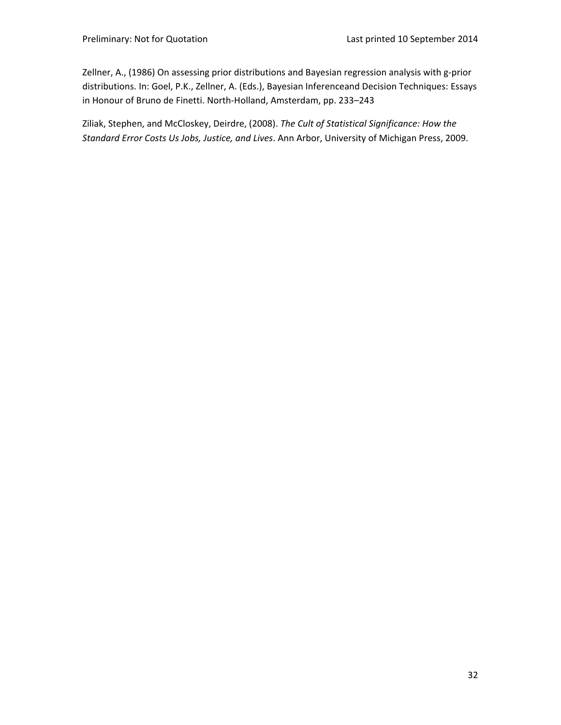Zellner, A., (1986) On assessing prior distributions and Bayesian regression analysis with g‐prior distributions. In: Goel, P.K., Zellner, A. (Eds.), Bayesian Inferenceand Decision Techniques: Essays in Honour of Bruno de Finetti. North‐Holland, Amsterdam, pp. 233–243

Ziliak, Stephen, and McCloskey, Deirdre, (2008). *The Cult of Statistical Significance: How the Standard Error Costs Us Jobs, Justice, and Lives*. Ann Arbor, University of Michigan Press, 2009.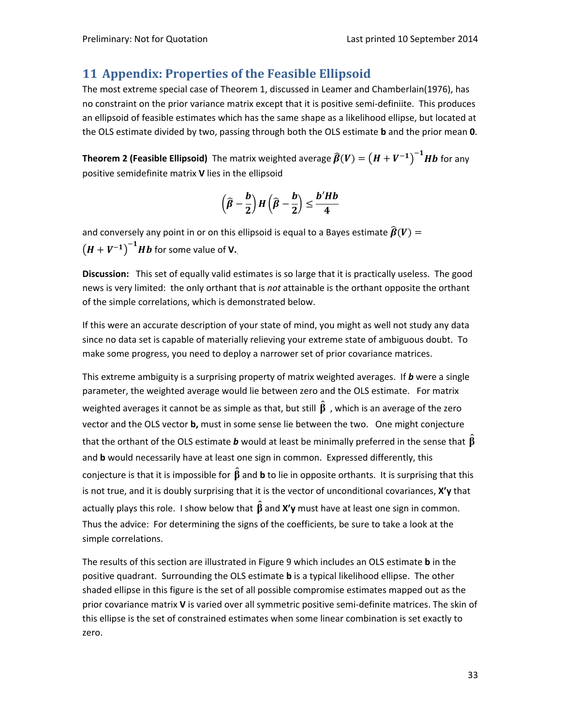# **11 Appendix: Properties of the Feasible Ellipsoid**

The most extreme special case of Theorem 1, discussed in Leamer and Chamberlain(1976), has no constraint on the prior variance matrix except that it is positive semi-definiite. This produces an ellipsoid of feasible estimates which has the same shape as a likelihood ellipse, but located at the OLS estimate divided by two, passing through both the OLS estimate **b** and the prior mean **0**.

**Theorem 2 (Feasible Ellipsoid)** The matrix weighted average  $\widehat{\beta}(V) = (H + V^{-1})^{-1}Hb$  for any positive semidefinite matrix **V** lies in the ellipsoid

$$
\left(\widehat{\beta}-\frac{b}{2}\right)H\left(\widehat{\beta}-\frac{b}{2}\right)\leq \frac{b'Hb}{4}
$$

and conversely any point in or on this ellipsoid is equal to a Bayes estimate  $\widehat{\beta}(V)$  =  $(H + V^{-1})^{-1}Hb$  for some value of **V**.

**Discussion:** This set of equally valid estimates is so large that it is practically useless. The good news is very limited: the only orthant that is *not* attainable is the orthant opposite the orthant of the simple correlations, which is demonstrated below.

If this were an accurate description of your state of mind, you might as well not study any data since no data set is capable of materially relieving your extreme state of ambiguous doubt. To make some progress, you need to deploy a narrower set of prior covariance matrices.

This extreme ambiguity is a surprising property of matrix weighted averages. If *b* were a single parameter, the weighted average would lie between zero and the OLS estimate. For matrix weighted averages it cannot be as simple as that, but still  $\hat{\beta}$  , which is an average of the zero vector and the OLS vector **b,** must in some sense lie between the two. One might conjecture that the orthant of the OLS estimate *b* would at least be minimally preferred in the sense that **β** ˆ and **b** would necessarily have at least one sign in common. Expressed differently, this conjecture is that it is impossible for  $\hat{\beta}$  and **b** to lie in opposite orthants. It is surprising that this is not true, and it is doubly surprising that it is the vector of unconditional covariances, **X'y** that actually plays this role. I show below that  $\hat{\boldsymbol{\beta}}$  and **X'y** must have at least one sign in common. Thus the advice: For determining the signs of the coefficients, be sure to take a look at the simple correlations.

The results of this section are illustrated in Figure 9 which includes an OLS estimate **b** in the positive quadrant. Surrounding the OLS estimate **b** is a typical likelihood ellipse. The other shaded ellipse in this figure is the set of all possible compromise estimates mapped out as the prior covariance matrix V is varied over all symmetric positive semi-definite matrices. The skin of this ellipse is the set of constrained estimates when some linear combination is set exactly to zero.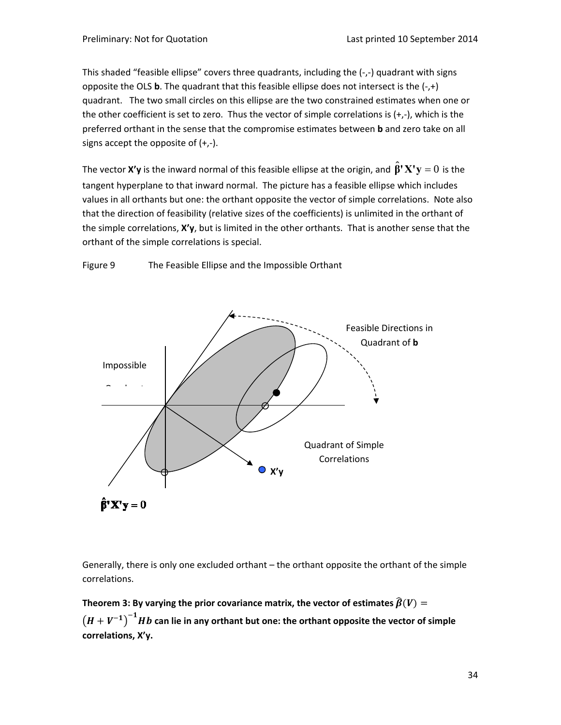This shaded "feasible ellipse" covers three quadrants, including the (‐,‐) quadrant with signs opposite the OLS **b**. The quadrant that this feasible ellipse does not intersect is the (‐,+) quadrant. The two small circles on this ellipse are the two constrained estimates when one or the other coefficient is set to zero. Thus the vector of simple correlations is (+,‐), which is the preferred orthant in the sense that the compromise estimates between **b** and zero take on all signs accept the opposite of  $(+,-)$ .

The vector **X'y** is the inward normal of this feasible ellipse at the origin, and  $\mathbf{\hat{\beta}}$ **'**  $\mathbf{X}^{\intercal}\mathbf{y} = 0$  is the tangent hyperplane to that inward normal. The picture has a feasible ellipse which includes values in all orthants but one: the orthant opposite the vector of simple correlations. Note also that the direction of feasibility (relative sizes of the coefficients) is unlimited in the orthant of the simple correlations, **X'y**, but is limited in the other orthants. That is another sense that the orthant of the simple correlations is special.

Figure 9 The Feasible Ellipse and the Impossible Orthant



Generally, there is only one excluded orthant – the orthant opposite the orthant of the simple correlations.

**Theorem** 3: By varying the prior covariance matrix, the vector of estimates  $\widehat{\beta}(V)$  =  $\left(H + V^{-1}\right)^{-1}$ Hb can lie in any orthant but one: the orthant opposite the vector of simple **correlations, X'y.**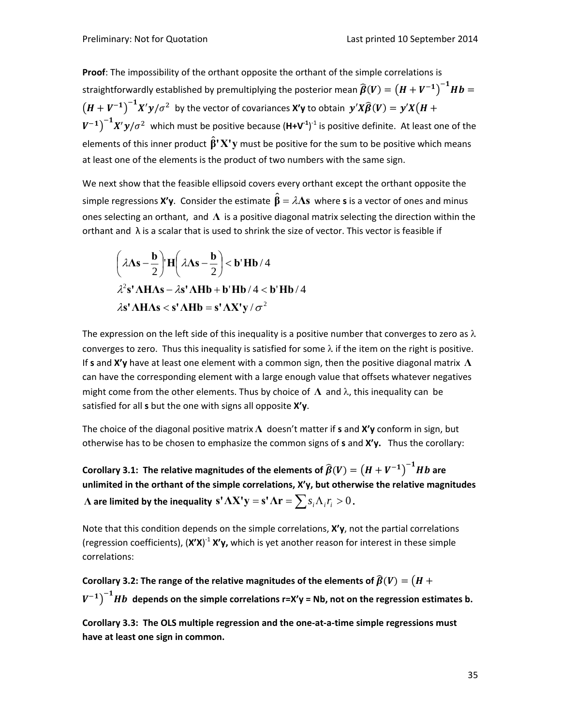**Proof**: The impossibility of the orthant opposite the orthant of the simple correlations is straightforwardly established by premultiplying the posterior mean  $\widehat{\bm{\beta}}(\bm{V})=\left(\bm{H}+\bm{V}^{-\bm{1}}\right)^{-\bm{1}}\bm{H}\bm{b}=$  $(H + V^{-1})^{-1} X' y/\sigma^2$  by the vector of covariances **X'y** to obtain  $y'X\widehat{\beta}(V) = y'X(H +$  $(V^{-1})^{-1}X'y/\sigma^2$  which must be positive because  $(\mathsf{H+V}^1)^{-1}$  is positive definite. At least one of the elements of this inner product  $\hat{\beta}^{\dagger}X^{\dagger}y$  must be positive for the sum to be positive which means at least one of the elements is the product of two numbers with the same sign.

We next show that the feasible ellipsoid covers every orthant except the orthant opposite the simple regressions **X'y**. Consider the estimate  $\hat{\beta} = \lambda \Lambda s$  where s is a vector of ones and minus ones selecting an orthant, and **Λ** is a positive diagonal matrix selecting the direction within the orthant and  $\lambda$  is a scalar that is used to shrink the size of vector. This vector is feasible if

$$
\left(\lambda \Lambda s - \frac{b}{2}\right)^{n} H\left(\lambda \Lambda s - \frac{b}{2}\right) < b' Hb / 4
$$
\n
$$
\lambda^{2} s' \Lambda H \Lambda s - \lambda s' \Lambda H b + b' Hb / 4 < b' Hb / 4
$$
\n
$$
\lambda s' \Lambda H \Lambda s < s' \Lambda H b = s' \Lambda X' y / \sigma^{2}
$$

The expression on the left side of this inequality is a positive number that converges to zero as  $\lambda$ converges to zero. Thus this inequality is satisfied for some  $\lambda$  if the item on the right is positive. If **s** and **X'y** have at least one element with a common sign, then the positive diagonal matrix **Λ** can have the corresponding element with a large enough value that offsets whatever negatives might come from the other elements. Thus by choice of  $\Lambda$  and  $\lambda$ , this inequality can be satisfied for all **s** but the one with signs all opposite **X'y**.

The choice of the diagonal positive matrix **Λ** doesn't matter if **s** and **X'y** conform in sign, but otherwise has to be chosen to emphasize the common signs of **s** and **X'y.** Thus the corollary:

 $\mathsf{Corollary 3.1:}$  The relative magnitudes of the elements of  $\widehat{\beta}(V) = \left(H + V^{-1}\right)^{-1}Hb$  are **unlimited in the orthant of the simple correlations, X'y, but otherwise the relative magnitudes**  $\Lambda$  are limited by the inequality  $s' \Lambda X' y = s' \Lambda r = \sum s_i \Lambda_i r_i > 0$ .

Note that this condition depends on the simple correlations, **X'y**, not the partial correlations (regression coefficients),  $(X'X)^{-1} X'Y$ , which is yet another reason for interest in these simple correlations:

**Corollary** 3.2: The range of the relative magnitudes of the elements of  $\widehat{\beta}(V) = (H +$ ൯ିࢂ ି࢈ࡴ **depends on the simple correlations r=X'y <sup>=</sup> Nb, not on the regression estimates b.**

**Corollary 3.3: The OLS multiple regression and the one‐at‐a‐time simple regressions must have at least one sign in common.**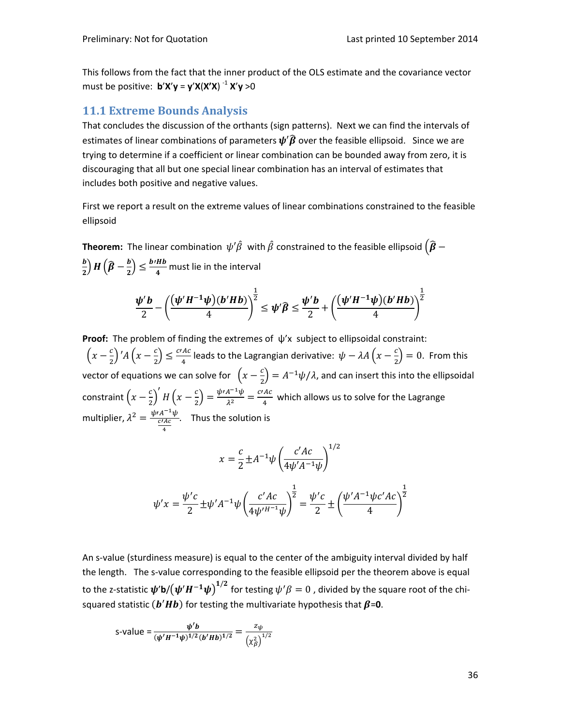This follows from the fact that the inner product of the OLS estimate and the covariance vector must be positive: **b**'**X**'**y** = **y**'**X**(**X'X**) ‐<sup>1</sup> **X**'**y** >0

### **11.1 Extreme Bounds Analysis**

That concludes the discussion of the orthants (sign patterns). Next we can find the intervals of estimates of linear combinations of parameters  $\psi'\hat{\beta}$  over the feasible ellipsoid. Since we are trying to determine if a coefficient or linear combination can be bounded away from zero, it is discouraging that all but one special linear combination has an interval of estimates that includes both positive and negative values.

First we report a result on the extreme values of linear combinations constrained to the feasible ellipsoid

**Theorem:** The linear combination  $\psi'\hat{\beta}$  with  $\hat{\beta}$  constrained to the feasible ellipsoid  $(\hat{\beta}$  – ࢈ 2  $\left( \widehat{\boldsymbol{\beta }}-\frac{b}{2}\right)$  $\left(\frac{b' H b}{4}\right) \leq \frac{b' H b}{4}$  must lie in the interval

$$
\frac{\psi' b}{2} - \left(\frac{(\psi' H^{-1} \psi)(b' H b)}{4}\right)^{\frac{1}{2}} \leq \psi' \widehat{\beta} \leq \frac{\psi' b}{2} + \left(\frac{(\psi' H^{-1} \psi)(b' H b)}{4}\right)^{\frac{1}{2}}
$$

**Proof:** The problem of finding the extremes of ψ'x subject to ellipsoidal constraint:  $\frac{1}{2}(x-\frac{c}{2})' A(x-\frac{c}{2}) \leq \frac{c'AC}{4}$  leads to the Lagrangian derivative:  $\psi - \lambda A(x-\frac{c}{2}) = 0$ . From this vector of equations we can solve for  $\,\left(x-\frac{c}{2}\right)=A^{-1}\psi/\lambda$ , and can insert this into the ellipsoidal constraint  $\left(x-\frac{c}{2}\right)' H\left(x-\frac{c}{2}\right)=\frac{\psi A^{-1}\psi}{\lambda^2}=\frac{c\prime Ac}{4}$  which allows us to solve for the Lagrange multiplier,  $\lambda^2 = \frac{\psi A^{-1} \psi}{c^{\prime} A c}$ ర . Thus the solution is

$$
x = \frac{c}{2} \pm A^{-1} \psi \left( \frac{c'Ac}{4\psi' A^{-1} \psi} \right)^{1/2}
$$

$$
\psi' x = \frac{\psi' c}{2} \pm \psi' A^{-1} \psi \left( \frac{c' A c}{4 \psi'{}^{H^{-1}} \psi} \right)^{\frac{1}{2}} = \frac{\psi' c}{2} \pm \left( \frac{\psi' A^{-1} \psi c' A c}{4} \right)^{\frac{1}{2}}
$$

An s-value (sturdiness measure) is equal to the center of the ambiguity interval divided by half the length. The s-value corresponding to the feasible ellipsoid per the theorem above is equal to the z-statistic  $\bm{\psi}'$ b/ $\left(\bm{\psi}'\bm{H^{-1}\psi}\right)^{1/2}$  for testing  $\psi'\beta=0$  , divided by the square root of the chisquared statistic  $(b'Hb)$  for testing the multivariate hypothesis that  $\beta$ =0.

s-value = 
$$
\frac{\psi' b}{(\psi' H^{-1} \psi)^{1/2} (b' H b)^{1/2}} = \frac{z_{\psi}}{(\chi_{\beta}^2)^{1/2}}
$$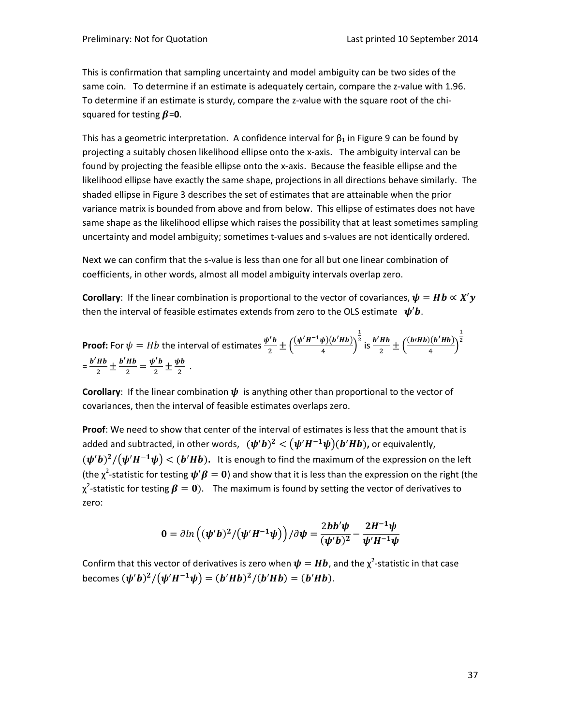This is confirmation that sampling uncertainty and model ambiguity can be two sides of the same coin. To determine if an estimate is adequately certain, compare the z-value with 1.96. To determine if an estimate is sturdy, compare the z-value with the square root of the chisquared for testing  $\beta$ =0.

This has a geometric interpretation. A confidence interval for  $\beta_1$  in Figure 9 can be found by projecting a suitably chosen likelihood ellipse onto the x‐axis. The ambiguity interval can be found by projecting the feasible ellipse onto the x‐axis. Because the feasible ellipse and the likelihood ellipse have exactly the same shape, projections in all directions behave similarly. The shaded ellipse in Figure 3 describes the set of estimates that are attainable when the prior variance matrix is bounded from above and from below. This ellipse of estimates does not have same shape as the likelihood ellipse which raises the possibility that at least sometimes sampling uncertainty and model ambiguity; sometimes t-values and s-values are not identically ordered.

Next we can confirm that the s-value is less than one for all but one linear combination of coefficients, in other words, almost all model ambiguity intervals overlap zero.

**Corollary**: If the linear combination is proportional to the vector of covariances,  $\psi = Hb \propto X'y$ then the interval of feasible estimates extends from zero to the OLS estimate  $\psi' b$ .

**Proof:** For 
$$
\psi = Hb
$$
 the interval of estimates  $\frac{\psi' b}{2} \pm \left(\frac{(\psi' H^{-1} \psi)(b' H b)}{4}\right)^{\frac{1}{2}}$  is  $\frac{b' H b}{2} \pm \left(\frac{(b' H b)(b' H b)}{4}\right)^{\frac{1}{2}}$   
=  $\frac{b' H b}{2} \pm \frac{b' H b}{2} = \frac{\psi' b}{2} \pm \frac{\psi b}{2}$ .

**Corollary:** If the linear combination  $\psi$  is anything other than proportional to the vector of covariances, then the interval of feasible estimates overlaps zero.

**Proof**: We need to show that center of the interval of estimates is less that the amount that is added and subtracted, in other words,  $(\bm{\psi}' \bm{b})^2 < (\bm{\psi}' \bm{H}^{-1} \bm{\psi}) (\bm{b}' \bm{H} \bm{b})$ , or equivalently,  $(\psi' b)^2 / (\psi' H^{-1} \psi) < (b' H b)$ . It is enough to find the maximum of the expression on the left (the  $\chi^2$ -statistic for testing  $\bm{\psi}'\bm{\beta}=\bm{0}$ ) and show that it is less than the expression on the right (the χ<sup>2</sup>-statistic for testing  $\beta = 0$ ). The maximum is found by setting the vector of derivatives to zero:

$$
0 = \partial \ln \left( (\psi' b)^2 / (\psi' H^{-1} \psi) \right) / \partial \psi = \frac{2 b b' \psi}{(\psi' b)^2} - \frac{2 H^{-1} \psi}{\psi' H^{-1} \psi}
$$

Confirm that this vector of derivatives is zero when  $\boldsymbol{\psi} = \boldsymbol{H} \boldsymbol{b}$ , and the  $\chi^2$ -statistic in that case becomes  $(\psi' b)^2 / (\psi' H^{-1} \psi) = (b' H b)^2 / (b' H b) = (b' H b)$ .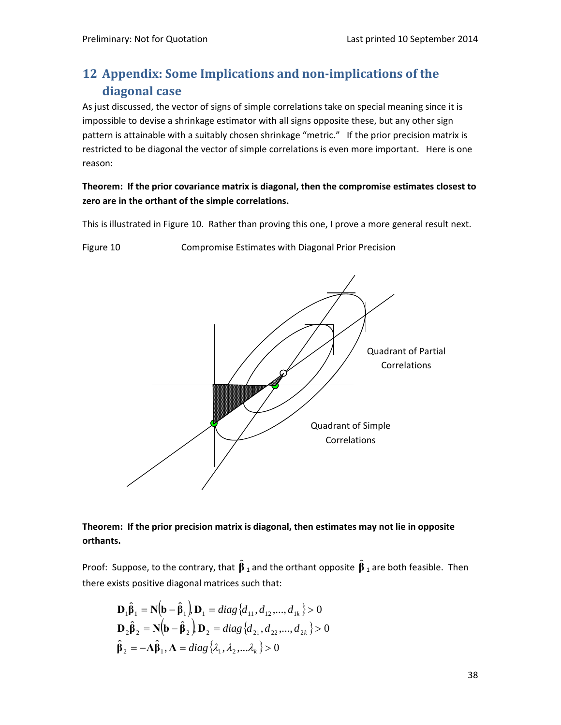# **12 Appendix: Some Implications and non‐implications of the diagonal case**

As just discussed, the vector of signs of simple correlations take on special meaning since it is impossible to devise a shrinkage estimator with all signs opposite these, but any other sign pattern is attainable with a suitably chosen shrinkage "metric." If the prior precision matrix is restricted to be diagonal the vector of simple correlations is even more important. Here is one reason:

## **Theorem: If the prior covariance matrix is diagonal, then the compromise estimates closest to zero are in the orthant of the simple correlations.**

This is illustrated in Figure 10. Rather than proving this one, I prove a more general result next.

Figure 10 **Compromise Estimates with Diagonal Prior Precision** 



## **Theorem: If the prior precision matrix is diagonal, then estimates may not lie in opposite orthants.**

Proof: Suppose, to the contrary, that  $\hat{\boldsymbol{\beta}}_1$  and the orthant opposite  $\hat{\boldsymbol{\beta}}_1$  are both feasible. Then there exists positive diagonal matrices such that:

$$
\mathbf{D}_1 \hat{\boldsymbol{\beta}}_1 = \mathbf{N} (\mathbf{b} - \hat{\boldsymbol{\beta}}_1) \mathbf{D}_1 = diag \{ d_{11}, d_{12}, ..., d_{1k} \} > 0
$$
  

$$
\mathbf{D}_2 \hat{\boldsymbol{\beta}}_2 = \mathbf{N} (\mathbf{b} - \hat{\boldsymbol{\beta}}_2) \mathbf{D}_2 = diag \{ d_{21}, d_{22}, ..., d_{2k} \} > 0
$$
  

$$
\hat{\boldsymbol{\beta}}_2 = -\mathbf{\Lambda} \hat{\boldsymbol{\beta}}_1, \mathbf{\Lambda} = diag \{ \lambda_1, \lambda_2, ..., \lambda_k \} > 0
$$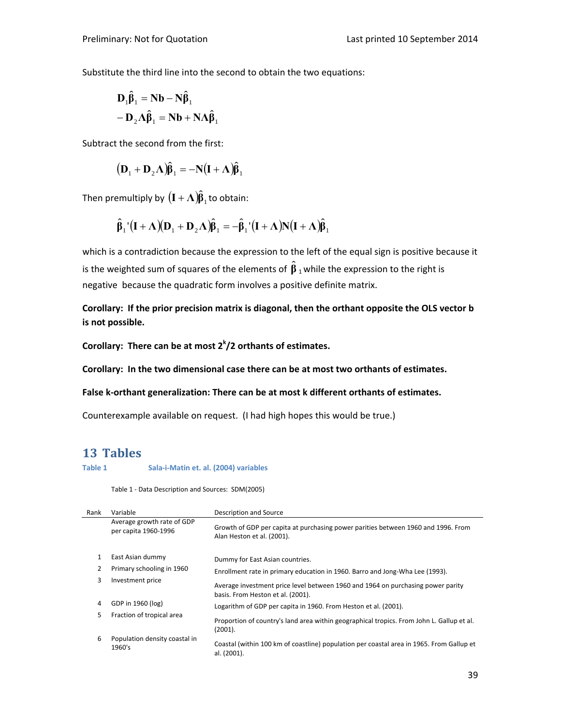Substitute the third line into the second to obtain the two equations:

$$
D_1 \hat{\beta}_1 = Nb - N \hat{\beta}_1
$$
  
- 
$$
D_2 \Lambda \hat{\beta}_1 = Nb + N \Lambda \hat{\beta}_1
$$

Subtract the second from the first:

$$
\left(\mathbf{D}_1 + \mathbf{D}_2 \Lambda\right)\hat{\boldsymbol{\beta}}_1 = -\mathbf{N}\left(\mathbf{I} + \Lambda\right)\hat{\boldsymbol{\beta}}_1
$$

Then premultiply by  $({\bf I}+\mathbf{\Lambda}){\bf \hat{b}}_{_1}$  to obtain:

$$
\hat{\beta}_1 \cdot (I + \Lambda)(D_1 + D_2 \Lambda)\hat{\beta}_1 = -\hat{\beta}_1 \cdot (I + \Lambda)N(I + \Lambda)\hat{\beta}_1
$$

which is a contradiction because the expression to the left of the equal sign is positive because it is the weighted sum of squares of the elements of  $\hat{\boldsymbol{\beta}}$  <sub>1</sub> while the expression to the right is negative because the quadratic form involves a positive definite matrix.

**Corollary: If the prior precision matrix is diagonal, then the orthant opposite the OLS vector b is not possible.**

**Corollary: There can be at most 2<sup>k</sup> /2 orthants of estimates.**

**Corollary: In the two dimensional case there can be at most two orthants of estimates.**

**False k‐orthant generalization: There can be at most k different orthants of estimates.**

Counterexample available on request. (I had high hopes this would be true.)

### **13 Tables**

**Table 1 Sala‐i‐Matin et. al. (2004) variables**

Table 1 ‐ Data Description and Sources: SDM(2005)

| Rank | Variable                                           | Description and Source                                                                                               |
|------|----------------------------------------------------|----------------------------------------------------------------------------------------------------------------------|
|      | Average growth rate of GDP<br>per capita 1960-1996 | Growth of GDP per capita at purchasing power parities between 1960 and 1996. From<br>Alan Heston et al. (2001).      |
|      | East Asian dummy                                   | Dummy for East Asian countries.                                                                                      |
|      | Primary schooling in 1960                          | Enrollment rate in primary education in 1960. Barro and Jong-Wha Lee (1993).                                         |
| 3    | Investment price                                   | Average investment price level between 1960 and 1964 on purchasing power parity<br>basis. From Heston et al. (2001). |
| 4    | GDP in 1960 (log)                                  | Logarithm of GDP per capita in 1960. From Heston et al. (2001).                                                      |
| 5    | Fraction of tropical area                          | Proportion of country's land area within geographical tropics. From John L. Gallup et al.<br>(2001).                 |
| 6    | Population density coastal in<br>1960's            | Coastal (within 100 km of coastline) population per coastal area in 1965. From Gallup et<br>al. (2001).              |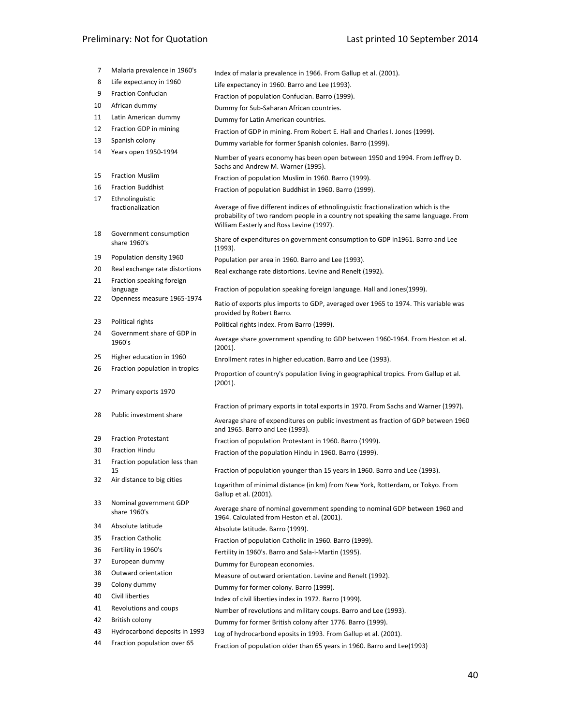# Preliminary: Not for Quotation **by the Contract of Contract Contract Preliminary: Not for Quotation**

| 7  | Malaria prevalence in 1960's           | Index of malaria prevalence in 1966. From Gallup et al. (2001).                                                                                                                                                       |
|----|----------------------------------------|-----------------------------------------------------------------------------------------------------------------------------------------------------------------------------------------------------------------------|
| 8  | Life expectancy in 1960                | Life expectancy in 1960. Barro and Lee (1993).                                                                                                                                                                        |
| 9  | <b>Fraction Confucian</b>              | Fraction of population Confucian. Barro (1999).                                                                                                                                                                       |
| 10 | African dummy                          | Dummy for Sub-Saharan African countries.                                                                                                                                                                              |
| 11 | Latin American dummy                   | Dummy for Latin American countries.                                                                                                                                                                                   |
| 12 | Fraction GDP in mining                 | Fraction of GDP in mining. From Robert E. Hall and Charles I. Jones (1999).                                                                                                                                           |
| 13 | Spanish colony                         | Dummy variable for former Spanish colonies. Barro (1999).                                                                                                                                                             |
| 14 | Years open 1950-1994                   | Number of years economy has been open between 1950 and 1994. From Jeffrey D.<br>Sachs and Andrew M. Warner (1995).                                                                                                    |
| 15 | <b>Fraction Muslim</b>                 | Fraction of population Muslim in 1960. Barro (1999).                                                                                                                                                                  |
| 16 | <b>Fraction Buddhist</b>               | Fraction of population Buddhist in 1960. Barro (1999).                                                                                                                                                                |
| 17 | Ethnolinguistic<br>fractionalization   | Average of five different indices of ethnolinguistic fractionalization which is the<br>probability of two random people in a country not speaking the same language. From<br>William Easterly and Ross Levine (1997). |
| 18 | Government consumption<br>share 1960's | Share of expenditures on government consumption to GDP in1961. Barro and Lee<br>(1993).                                                                                                                               |
| 19 | Population density 1960                | Population per area in 1960. Barro and Lee (1993).                                                                                                                                                                    |
| 20 | Real exchange rate distortions         | Real exchange rate distortions. Levine and Renelt (1992).                                                                                                                                                             |
| 21 | Fraction speaking foreign              |                                                                                                                                                                                                                       |
| 22 | language<br>Openness measure 1965-1974 | Fraction of population speaking foreign language. Hall and Jones (1999).                                                                                                                                              |
|    |                                        | Ratio of exports plus imports to GDP, averaged over 1965 to 1974. This variable was<br>provided by Robert Barro.                                                                                                      |
| 23 | Political rights                       | Political rights index. From Barro (1999).                                                                                                                                                                            |
| 24 | Government share of GDP in<br>1960's   | Average share government spending to GDP between 1960-1964. From Heston et al.<br>(2001).                                                                                                                             |
| 25 | Higher education in 1960               | Enrollment rates in higher education. Barro and Lee (1993).                                                                                                                                                           |
| 26 | Fraction population in tropics         | Proportion of country's population living in geographical tropics. From Gallup et al.<br>(2001).                                                                                                                      |
| 27 | Primary exports 1970                   |                                                                                                                                                                                                                       |
|    |                                        | Fraction of primary exports in total exports in 1970. From Sachs and Warner (1997).                                                                                                                                   |
| 28 | Public investment share                | Average share of expenditures on public investment as fraction of GDP between 1960<br>and 1965. Barro and Lee (1993).                                                                                                 |
| 29 | <b>Fraction Protestant</b>             | Fraction of population Protestant in 1960. Barro (1999).                                                                                                                                                              |
| 30 | <b>Fraction Hindu</b>                  | Fraction of the population Hindu in 1960. Barro (1999).                                                                                                                                                               |
| 31 | Fraction population less than          |                                                                                                                                                                                                                       |
|    | 15                                     | Fraction of population younger than 15 years in 1960. Barro and Lee (1993).                                                                                                                                           |
| 32 | Air distance to big cities             | Logarithm of minimal distance (in km) from New York, Rotterdam, or Tokyo. From<br>Gallup et al. (2001).                                                                                                               |
| 33 | Nominal government GDP<br>share 1960's | Average share of nominal government spending to nominal GDP between 1960 and<br>1964. Calculated from Heston et al. (2001).                                                                                           |
| 34 | Absolute latitude                      | Absolute latitude. Barro (1999).                                                                                                                                                                                      |
| 35 | <b>Fraction Catholic</b>               | Fraction of population Catholic in 1960. Barro (1999).                                                                                                                                                                |
| 36 | Fertility in 1960's                    | Fertility in 1960's. Barro and Sala-i-Martin (1995).                                                                                                                                                                  |
| 37 | European dummy                         | Dummy for European economies.                                                                                                                                                                                         |
| 38 | Outward orientation                    | Measure of outward orientation. Levine and Renelt (1992).                                                                                                                                                             |
| 39 | Colony dummy                           | Dummy for former colony. Barro (1999).                                                                                                                                                                                |
| 40 | Civil liberties                        | Index of civil liberties index in 1972. Barro (1999).                                                                                                                                                                 |
| 41 | Revolutions and coups                  | Number of revolutions and military coups. Barro and Lee (1993).                                                                                                                                                       |
| 42 | British colony                         | Dummy for former British colony after 1776. Barro (1999).                                                                                                                                                             |
| 43 | Hydrocarbond deposits in 1993          | Log of hydrocarbond eposits in 1993. From Gallup et al. (2001).                                                                                                                                                       |
| 44 | Fraction population over 65            | Fraction of population older than 65 years in 1960. Barro and Lee(1993)                                                                                                                                               |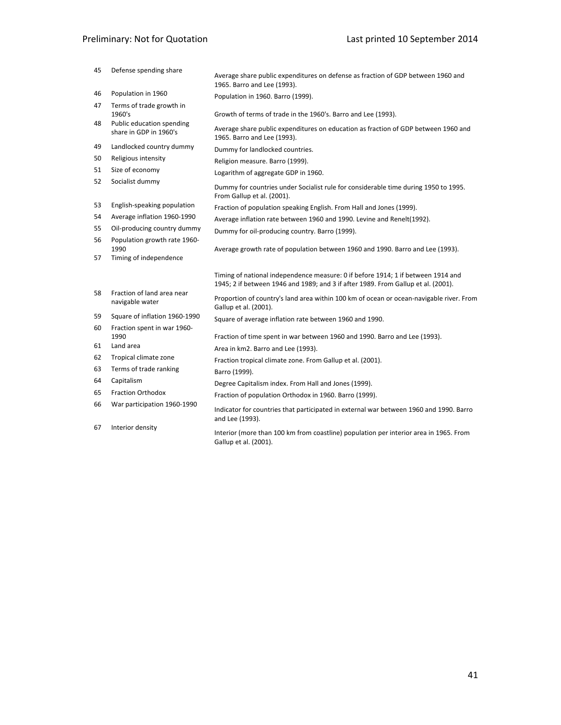# Preliminary: Not for Quotation **by the Contract of Contract Preliminary: Not for Quotation**

| 45 | Defense spending share                              | Average share public expenditures on defense as fraction of GDP between 1960 and<br>1965. Barro and Lee (1993).                                                       |
|----|-----------------------------------------------------|-----------------------------------------------------------------------------------------------------------------------------------------------------------------------|
| 46 | Population in 1960                                  | Population in 1960. Barro (1999).                                                                                                                                     |
| 47 | Terms of trade growth in                            |                                                                                                                                                                       |
|    | 1960's                                              | Growth of terms of trade in the 1960's. Barro and Lee (1993).                                                                                                         |
| 48 | Public education spending<br>share in GDP in 1960's | Average share public expenditures on education as fraction of GDP between 1960 and<br>1965. Barro and Lee (1993).                                                     |
| 49 | Landlocked country dummy                            | Dummy for landlocked countries.                                                                                                                                       |
| 50 | Religious intensity                                 | Religion measure. Barro (1999).                                                                                                                                       |
| 51 | Size of economy                                     | Logarithm of aggregate GDP in 1960.                                                                                                                                   |
| 52 | Socialist dummy                                     | Dummy for countries under Socialist rule for considerable time during 1950 to 1995.<br>From Gallup et al. (2001).                                                     |
| 53 | English-speaking population                         | Fraction of population speaking English. From Hall and Jones (1999).                                                                                                  |
| 54 | Average inflation 1960-1990                         | Average inflation rate between 1960 and 1990. Levine and Renelt(1992).                                                                                                |
| 55 | Oil-producing country dummy                         | Dummy for oil-producing country. Barro (1999).                                                                                                                        |
| 56 | Population growth rate 1960-                        |                                                                                                                                                                       |
| 57 | 1990<br>Timing of independence                      | Average growth rate of population between 1960 and 1990. Barro and Lee (1993).                                                                                        |
|    |                                                     | Timing of national independence measure: 0 if before 1914; 1 if between 1914 and<br>1945; 2 if between 1946 and 1989; and 3 if after 1989. From Gallup et al. (2001). |
| 58 | Fraction of land area near<br>navigable water       | Proportion of country's land area within 100 km of ocean or ocean-navigable river. From<br>Gallup et al. (2001).                                                      |
| 59 | Square of inflation 1960-1990                       | Square of average inflation rate between 1960 and 1990.                                                                                                               |
| 60 | Fraction spent in war 1960-<br>1990                 | Fraction of time spent in war between 1960 and 1990. Barro and Lee (1993).                                                                                            |
| 61 | Land area                                           | Area in km2. Barro and Lee (1993).                                                                                                                                    |
| 62 | Tropical climate zone                               | Fraction tropical climate zone. From Gallup et al. (2001).                                                                                                            |
| 63 | Terms of trade ranking                              | Barro (1999).                                                                                                                                                         |
| 64 | Capitalism                                          | Degree Capitalism index. From Hall and Jones (1999).                                                                                                                  |
| 65 | <b>Fraction Orthodox</b>                            | Fraction of population Orthodox in 1960. Barro (1999).                                                                                                                |
| 66 | War participation 1960-1990                         | Indicator for countries that participated in external war between 1960 and 1990. Barro<br>and Lee (1993).                                                             |
| 67 | Interior density                                    | Interior (more than 100 km from coastline) population per interior area in 1965. From<br>Gallup et al. (2001).                                                        |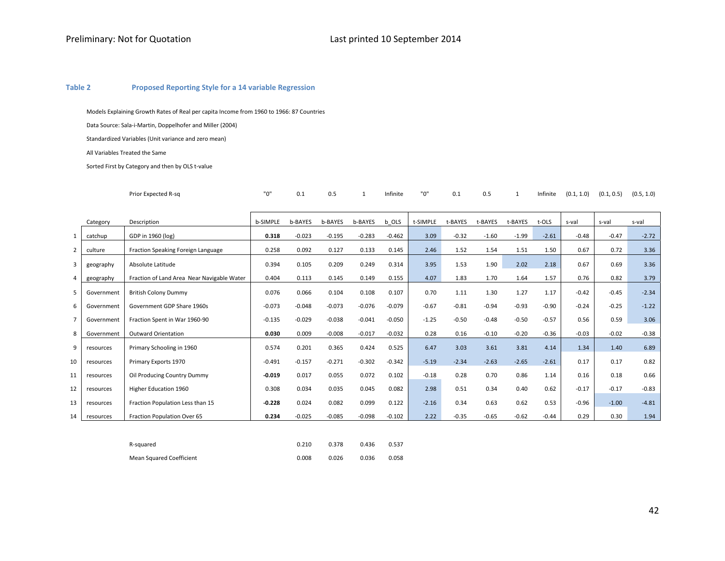#### **Table 2Proposed Reporting Style for <sup>a</sup> 14 variable Regression**

Models Explaining Growth Rates of Real per capita Income from 1960 to 1966: 87 Countries

Data Source: Sala‐i‐Martin, Doppelhofer and Miller (2004)

Standardized Variables (Unit variance and zero mean)

All Variables Treated the Same

Sorted First by Category and then by OLS <sup>t</sup>‐value

| Prior Expected R-sa | 0.1 |  | Infinite | "ח" | 0.1 |  | Infinite | .1.0)<br>(0.1) | (0.1, 0.5) | (0.5, 1.0) |
|---------------------|-----|--|----------|-----|-----|--|----------|----------------|------------|------------|
|                     |     |  |          |     |     |  |          |                |            |            |

|                | Category   | Description                                | b-SIMPLE | b-BAYES  | b-BAYES  | b-BAYES  | b OLS    | t-SIMPLE | t-BAYES | t-BAYES | t-BAYES | t-OLS   | s-val   | s-val   | s-val   |
|----------------|------------|--------------------------------------------|----------|----------|----------|----------|----------|----------|---------|---------|---------|---------|---------|---------|---------|
| 1              | catchup    | GDP in 1960 (log)                          | 0.318    | $-0.023$ | $-0.195$ | $-0.283$ | $-0.462$ | 3.09     | $-0.32$ | $-1.60$ | $-1.99$ | $-2.61$ | $-0.48$ | $-0.47$ | $-2.72$ |
| $\overline{2}$ | culture    | Fraction Speaking Foreign Language         | 0.258    | 0.092    | 0.127    | 0.133    | 0.145    | 2.46     | 1.52    | 1.54    | 1.51    | 1.50    | 0.67    | 0.72    | 3.36    |
| 3              | geography  | Absolute Latitude                          | 0.394    | 0.105    | 0.209    | 0.249    | 0.314    | 3.95     | 1.53    | 1.90    | 2.02    | 2.18    | 0.67    | 0.69    | 3.36    |
| $\Delta$       | geography  | Fraction of Land Area Near Navigable Water | 0.404    | 0.113    | 0.145    | 0.149    | 0.155    | 4.07     | 1.83    | 1.70    | 1.64    | 1.57    | 0.76    | 0.82    | 3.79    |
| 5              | Government | <b>British Colony Dummy</b>                | 0.076    | 0.066    | 0.104    | 0.108    | 0.107    | 0.70     | 1.11    | 1.30    | 1.27    | 1.17    | $-0.42$ | $-0.45$ | $-2.34$ |
| 6              | Government | Government GDP Share 1960s                 | $-0.073$ | $-0.048$ | $-0.073$ | $-0.076$ | $-0.079$ | $-0.67$  | $-0.81$ | $-0.94$ | $-0.93$ | $-0.90$ | $-0.24$ | $-0.25$ | $-1.22$ |
|                | Government | Fraction Spent in War 1960-90              | $-0.135$ | $-0.029$ | $-0.038$ | $-0.041$ | $-0.050$ | $-1.25$  | $-0.50$ | $-0.48$ | $-0.50$ | $-0.57$ | 0.56    | 0.59    | 3.06    |
| 8              | Government | <b>Outward Orientation</b>                 | 0.030    | 0.009    | $-0.008$ | $-0.017$ | $-0.032$ | 0.28     | 0.16    | $-0.10$ | $-0.20$ | $-0.36$ | $-0.03$ | $-0.02$ | $-0.38$ |
| 9              | resources  | Primary Schooling in 1960                  | 0.574    | 0.201    | 0.365    | 0.424    | 0.525    | 6.47     | 3.03    | 3.61    | 3.81    | 4.14    | 1.34    | 1.40    | 6.89    |
| 10             | resources  | Primary Exports 1970                       | $-0.491$ | $-0.157$ | $-0.271$ | $-0.302$ | $-0.342$ | $-5.19$  | $-2.34$ | $-2.63$ | $-2.65$ | $-2.61$ | 0.17    | 0.17    | 0.82    |
| 11             | resources  | Oil Producing Country Dummy                | $-0.019$ | 0.017    | 0.055    | 0.072    | 0.102    | $-0.18$  | 0.28    | 0.70    | 0.86    | 1.14    | 0.16    | 0.18    | 0.66    |
| 12             | resources  | Higher Education 1960                      | 0.308    | 0.034    | 0.035    | 0.045    | 0.082    | 2.98     | 0.51    | 0.34    | 0.40    | 0.62    | $-0.17$ | $-0.17$ | $-0.83$ |
| 13             | resources  | Fraction Population Less than 15           | $-0.228$ | 0.024    | 0.082    | 0.099    | 0.122    | $-2.16$  | 0.34    | 0.63    | 0.62    | 0.53    | $-0.96$ | $-1.00$ | $-4.81$ |
| 14             | resources  | Fraction Population Over 65                | 0.234    | $-0.025$ | $-0.085$ | $-0.098$ | $-0.102$ | 2.22     | $-0.35$ | $-0.65$ | $-0.62$ | $-0.44$ | 0.29    | 0.30    | 1.94    |

| R-squared                | 0.210 | 0.378 | 0.436 | 0.537 |
|--------------------------|-------|-------|-------|-------|
| Mean Squared Coefficient | 0.008 | 0.026 | 0.036 | 0.058 |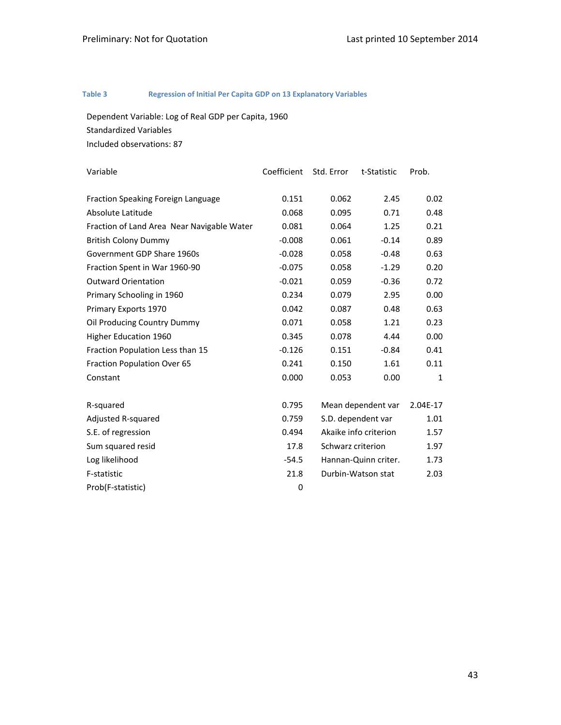#### **Table 3 Regression of Initial Per Capita GDP on 13 Explanatory Variables**

Dependent Variable: Log of Real GDP per Capita, 1960 Standardized Variables

Included observations: 87

| Variable                                   | Coefficient | Std. Error | t-Statistic           | Prob.        |  |
|--------------------------------------------|-------------|------------|-----------------------|--------------|--|
|                                            |             |            |                       |              |  |
| Fraction Speaking Foreign Language         | 0.151       | 0.062      | 2.45                  | 0.02         |  |
| Absolute Latitude                          | 0.068       | 0.095      | 0.71                  | 0.48         |  |
| Fraction of Land Area Near Navigable Water | 0.081       | 0.064      | 1.25                  | 0.21         |  |
| <b>British Colony Dummy</b>                | $-0.008$    | 0.061      | $-0.14$               | 0.89         |  |
| Government GDP Share 1960s                 | $-0.028$    | 0.058      | $-0.48$               | 0.63         |  |
| Fraction Spent in War 1960-90              | $-0.075$    | 0.058      | $-1.29$               | 0.20         |  |
| <b>Outward Orientation</b>                 | $-0.021$    | 0.059      | $-0.36$               | 0.72         |  |
| Primary Schooling in 1960                  | 0.234       | 0.079      | 2.95                  | 0.00         |  |
| Primary Exports 1970                       | 0.042       | 0.087      | 0.48                  | 0.63         |  |
| Oil Producing Country Dummy                | 0.071       | 0.058      | 1.21                  | 0.23         |  |
| <b>Higher Education 1960</b>               | 0.345       | 0.078      | 4.44                  | 0.00         |  |
| Fraction Population Less than 15           | $-0.126$    | 0.151      | $-0.84$               | 0.41         |  |
| Fraction Population Over 65                | 0.241       | 0.150      | 1.61                  | 0.11         |  |
| Constant                                   | 0.000       | 0.053      | 0.00                  | $\mathbf{1}$ |  |
|                                            |             |            |                       |              |  |
| R-squared                                  | 0.795       |            | Mean dependent var    | 2.04E-17     |  |
| Adjusted R-squared                         | 0.759       |            | S.D. dependent var    | 1.01         |  |
| S.E. of regression                         | 0.494       |            | Akaike info criterion | 1.57         |  |
| Sum squared resid                          | 17.8        |            | Schwarz criterion     |              |  |
| Log likelihood                             | $-54.5$     |            | Hannan-Quinn criter.  | 1.73         |  |
| F-statistic                                | 21.8        |            | Durbin-Watson stat    | 2.03         |  |
| Prob(F-statistic)                          | 0           |            |                       |              |  |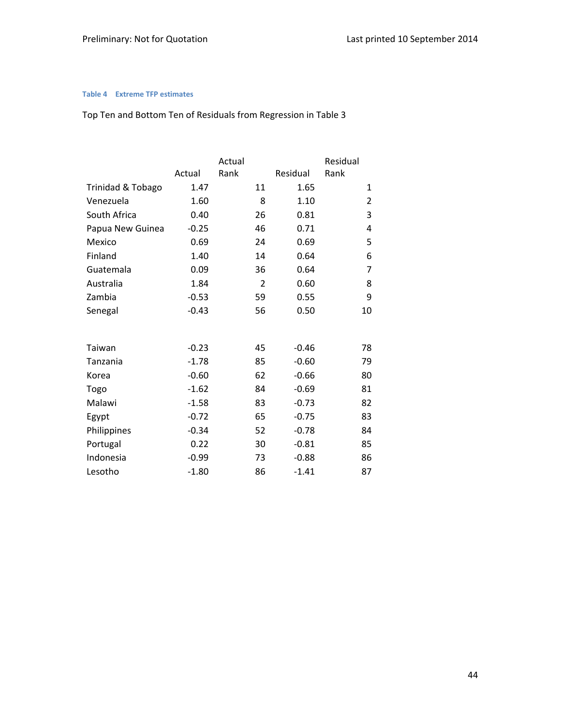#### **Table 4 Extreme TFP estimates**

# Top Ten and Bottom Ten of Residuals from Regression in Table 3

|                   |         | Actual |                |          | Residual     |
|-------------------|---------|--------|----------------|----------|--------------|
|                   | Actual  | Rank   |                | Residual | Rank         |
| Trinidad & Tobago | 1.47    |        | 11             | 1.65     | $\mathbf{1}$ |
| Venezuela         | 1.60    |        | 8              | 1.10     | 2            |
| South Africa      | 0.40    |        | 26             | 0.81     | 3            |
| Papua New Guinea  | $-0.25$ |        | 46             | 0.71     | 4            |
| Mexico            | 0.69    |        | 24             | 0.69     | 5            |
| Finland           | 1.40    |        | 14             | 0.64     | 6            |
| Guatemala         | 0.09    |        | 36             | 0.64     | 7            |
| Australia         | 1.84    |        | $\overline{2}$ | 0.60     | 8            |
| Zambia            | $-0.53$ |        | 59             | 0.55     | 9            |
| Senegal           | $-0.43$ |        | 56             | 0.50     | 10           |
|                   |         |        |                |          |              |
| Taiwan            | $-0.23$ |        | 45             | $-0.46$  | 78           |
| Tanzania          | $-1.78$ |        | 85             | $-0.60$  | 79           |
| Korea             | $-0.60$ |        | 62             | $-0.66$  | 80           |
| Togo              | $-1.62$ |        | 84             | $-0.69$  | 81           |
| Malawi            | $-1.58$ |        | 83             | $-0.73$  | 82           |
| Egypt             | $-0.72$ |        | 65             | $-0.75$  | 83           |
| Philippines       | $-0.34$ |        | 52             | $-0.78$  | 84           |
| Portugal          | 0.22    |        | 30             | $-0.81$  | 85           |
| Indonesia         | $-0.99$ |        | 73             | $-0.88$  | 86           |
| Lesotho           | $-1.80$ |        | 86             | $-1.41$  | 87           |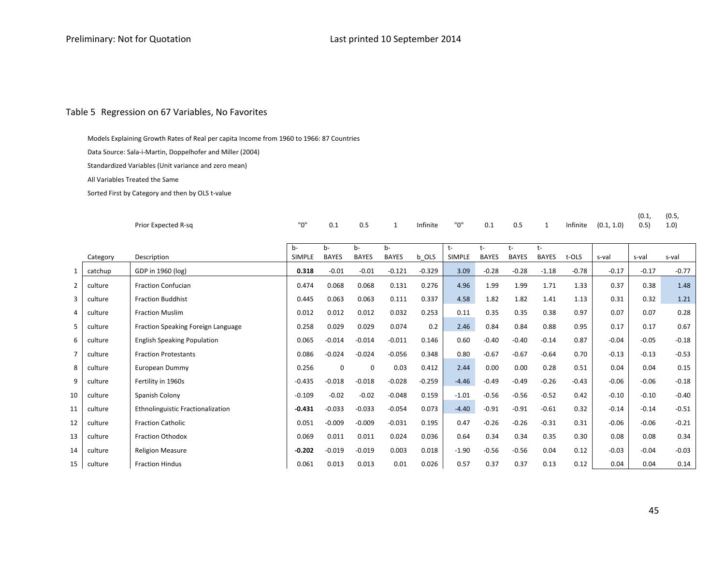#### Table 5 Regression on 67 Variables, No Favorites

Models Explaining Growth Rates of Real per capita Income from 1960 to 1966: 87 Countries

Data Source: Sala‐i‐Martin, Doppelhofer and Miller (2004)

Standardized Variables (Unit variance and zero mean)

All Variables Treated the Same

Sorted First by Category and then by OLS <sup>t</sup>‐value

|                |          | Prior Expected R-sq                | "0"           | 0.1          | 0.5          | 1            | Infinite | "0"           | 0.1          | 0.5          | 1            | Infinite | (0.1, 1.0) | (0.1,<br>0.5) | (0.5,<br>1.0) |
|----------------|----------|------------------------------------|---------------|--------------|--------------|--------------|----------|---------------|--------------|--------------|--------------|----------|------------|---------------|---------------|
|                |          |                                    | b-            | b-           | b-           | b-           |          | t-            | t-           | t-           | $t-$         |          |            |               |               |
|                | Category | Description                        | <b>SIMPLE</b> | <b>BAYES</b> | <b>BAYES</b> | <b>BAYES</b> | b OLS    | <b>SIMPLE</b> | <b>BAYES</b> | <b>BAYES</b> | <b>BAYES</b> | t-OLS    | s-val      | s-val         | s-val         |
| $\mathbf{1}$   | catchup  | GDP in 1960 (log)                  | 0.318         | $-0.01$      | $-0.01$      | $-0.121$     | $-0.329$ | 3.09          | $-0.28$      | $-0.28$      | $-1.18$      | $-0.78$  | $-0.17$    | $-0.17$       | $-0.77$       |
| $\overline{2}$ | culture  | <b>Fraction Confucian</b>          | 0.474         | 0.068        | 0.068        | 0.131        | 0.276    | 4.96          | 1.99         | 1.99         | 1.71         | 1.33     | 0.37       | 0.38          | 1.48          |
| 3              | culture  | <b>Fraction Buddhist</b>           | 0.445         | 0.063        | 0.063        | 0.111        | 0.337    | 4.58          | 1.82         | 1.82         | 1.41         | 1.13     | 0.31       | 0.32          | 1.21          |
| 4              | culture  | <b>Fraction Muslim</b>             | 0.012         | 0.012        | 0.012        | 0.032        | 0.253    | 0.11          | 0.35         | 0.35         | 0.38         | 0.97     | 0.07       | 0.07          | 0.28          |
| 5              | culture  | Fraction Speaking Foreign Language | 0.258         | 0.029        | 0.029        | 0.074        | 0.2      | 2.46          | 0.84         | 0.84         | 0.88         | 0.95     | 0.17       | 0.17          | 0.67          |
| 6              | culture  | <b>English Speaking Population</b> | 0.065         | $-0.014$     | $-0.014$     | $-0.011$     | 0.146    | 0.60          | $-0.40$      | $-0.40$      | $-0.14$      | 0.87     | $-0.04$    | $-0.05$       | $-0.18$       |
| $\overline{7}$ | culture  | <b>Fraction Protestants</b>        | 0.086         | $-0.024$     | $-0.024$     | $-0.056$     | 0.348    | 0.80          | $-0.67$      | $-0.67$      | $-0.64$      | 0.70     | $-0.13$    | $-0.13$       | $-0.53$       |
| 8              | culture  | European Dummy                     | 0.256         | 0            | $\Omega$     | 0.03         | 0.412    | 2.44          | 0.00         | 0.00         | 0.28         | 0.51     | 0.04       | 0.04          | 0.15          |
| 9              | culture  | Fertility in 1960s                 | $-0.435$      | $-0.018$     | $-0.018$     | $-0.028$     | $-0.259$ | $-4.46$       | $-0.49$      | $-0.49$      | $-0.26$      | $-0.43$  | $-0.06$    | $-0.06$       | $-0.18$       |
| 10             | culture  | Spanish Colony                     | $-0.109$      | $-0.02$      | $-0.02$      | $-0.048$     | 0.159    | $-1.01$       | $-0.56$      | $-0.56$      | $-0.52$      | 0.42     | $-0.10$    | $-0.10$       | $-0.40$       |
| 11             | culture  | Ethnolinguistic Fractionalization  | $-0.431$      | $-0.033$     | $-0.033$     | $-0.054$     | 0.073    | $-4.40$       | $-0.91$      | $-0.91$      | $-0.61$      | 0.32     | $-0.14$    | $-0.14$       | $-0.51$       |
| 12             | culture  | <b>Fraction Catholic</b>           | 0.051         | $-0.009$     | $-0.009$     | $-0.031$     | 0.195    | 0.47          | $-0.26$      | $-0.26$      | $-0.31$      | 0.31     | $-0.06$    | $-0.06$       | $-0.21$       |
| 13             | culture  | <b>Fraction Othodox</b>            | 0.069         | 0.011        | 0.011        | 0.024        | 0.036    | 0.64          | 0.34         | 0.34         | 0.35         | 0.30     | 0.08       | 0.08          | 0.34          |
| 14             | culture  | <b>Religion Measure</b>            | $-0.202$      | $-0.019$     | $-0.019$     | 0.003        | 0.018    | $-1.90$       | $-0.56$      | $-0.56$      | 0.04         | 0.12     | $-0.03$    | $-0.04$       | $-0.03$       |
| 15             | culture  | <b>Fraction Hindus</b>             | 0.061         | 0.013        | 0.013        | 0.01         | 0.026    | 0.57          | 0.37         | 0.37         | 0.13         | 0.12     | 0.04       | 0.04          | 0.14          |

45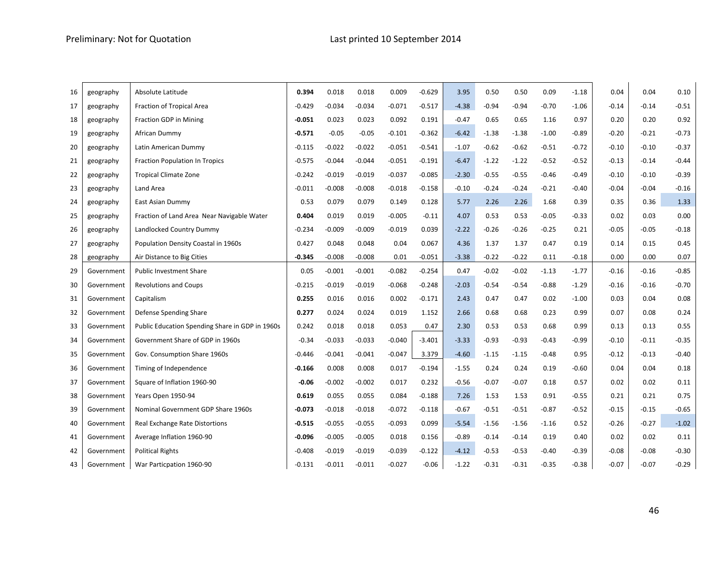| 16 | geography  | Absolute Latitude                               | 0.394    | 0.018    | 0.018    | 0.009    | $-0.629$ | 3.95    | 0.50    | 0.50    | 0.09    | $-1.18$ | 0.04    | 0.04    | 0.10    |
|----|------------|-------------------------------------------------|----------|----------|----------|----------|----------|---------|---------|---------|---------|---------|---------|---------|---------|
| 17 | geography  | Fraction of Tropical Area                       | $-0.429$ | $-0.034$ | $-0.034$ | $-0.071$ | $-0.517$ | $-4.38$ | $-0.94$ | $-0.94$ | $-0.70$ | $-1.06$ | $-0.14$ | $-0.14$ | $-0.51$ |
| 18 | geography  | <b>Fraction GDP in Mining</b>                   | $-0.051$ | 0.023    | 0.023    | 0.092    | 0.191    | $-0.47$ | 0.65    | 0.65    | 1.16    | 0.97    | 0.20    | 0.20    | 0.92    |
| 19 | geography  | African Dummy                                   | $-0.571$ | $-0.05$  | $-0.05$  | $-0.101$ | $-0.362$ | $-6.42$ | $-1.38$ | $-1.38$ | $-1.00$ | $-0.89$ | $-0.20$ | $-0.21$ | $-0.73$ |
| 20 | geography  | Latin American Dummy                            | $-0.115$ | $-0.022$ | $-0.022$ | $-0.051$ | $-0.541$ | $-1.07$ | $-0.62$ | $-0.62$ | $-0.51$ | $-0.72$ | $-0.10$ | $-0.10$ | $-0.37$ |
| 21 | geography  | <b>Fraction Population In Tropics</b>           | $-0.575$ | $-0.044$ | $-0.044$ | $-0.051$ | $-0.191$ | $-6.47$ | $-1.22$ | $-1.22$ | $-0.52$ | $-0.52$ | $-0.13$ | $-0.14$ | $-0.44$ |
| 22 | geography  | <b>Tropical Climate Zone</b>                    | $-0.242$ | $-0.019$ | $-0.019$ | $-0.037$ | $-0.085$ | $-2.30$ | $-0.55$ | $-0.55$ | $-0.46$ | $-0.49$ | $-0.10$ | $-0.10$ | $-0.39$ |
| 23 | geography  | Land Area                                       | $-0.011$ | $-0.008$ | $-0.008$ | $-0.018$ | $-0.158$ | $-0.10$ | $-0.24$ | $-0.24$ | $-0.21$ | $-0.40$ | $-0.04$ | $-0.04$ | $-0.16$ |
| 24 | geography  | East Asian Dummy                                | 0.53     | 0.079    | 0.079    | 0.149    | 0.128    | 5.77    | 2.26    | 2.26    | 1.68    | 0.39    | 0.35    | 0.36    | 1.33    |
| 25 | geography  | Fraction of Land Area Near Navigable Water      | 0.404    | 0.019    | 0.019    | $-0.005$ | $-0.11$  | 4.07    | 0.53    | 0.53    | $-0.05$ | $-0.33$ | 0.02    | 0.03    | 0.00    |
| 26 | geography  | Landlocked Country Dummy                        | $-0.234$ | $-0.009$ | $-0.009$ | $-0.019$ | 0.039    | $-2.22$ | $-0.26$ | $-0.26$ | $-0.25$ | 0.21    | $-0.05$ | $-0.05$ | $-0.18$ |
| 27 | geography  | Population Density Coastal in 1960s             | 0.427    | 0.048    | 0.048    | 0.04     | 0.067    | 4.36    | 1.37    | 1.37    | 0.47    | 0.19    | 0.14    | 0.15    | 0.45    |
| 28 | geography  | Air Distance to Big Cities                      | $-0.345$ | $-0.008$ | $-0.008$ | 0.01     | $-0.051$ | $-3.38$ | $-0.22$ | $-0.22$ | 0.11    | $-0.18$ | 0.00    | 0.00    | 0.07    |
| 29 | Government | <b>Public Investment Share</b>                  | 0.05     | $-0.001$ | $-0.001$ | $-0.082$ | $-0.254$ | 0.47    | $-0.02$ | $-0.02$ | $-1.13$ | $-1.77$ | $-0.16$ | $-0.16$ | $-0.85$ |
| 30 | Government | <b>Revolutions and Coups</b>                    | $-0.215$ | $-0.019$ | $-0.019$ | $-0.068$ | $-0.248$ | $-2.03$ | $-0.54$ | $-0.54$ | $-0.88$ | $-1.29$ | $-0.16$ | $-0.16$ | $-0.70$ |
| 31 | Government | Capitalism                                      | 0.255    | 0.016    | 0.016    | 0.002    | $-0.171$ | 2.43    | 0.47    | 0.47    | 0.02    | $-1.00$ | 0.03    | 0.04    | 0.08    |
| 32 | Government | Defense Spending Share                          | 0.277    | 0.024    | 0.024    | 0.019    | 1.152    | 2.66    | 0.68    | 0.68    | 0.23    | 0.99    | 0.07    | 0.08    | 0.24    |
| 33 | Government | Public Education Spending Share in GDP in 1960s | 0.242    | 0.018    | 0.018    | 0.053    | 0.47     | 2.30    | 0.53    | 0.53    | 0.68    | 0.99    | 0.13    | 0.13    | 0.55    |
| 34 | Government | Government Share of GDP in 1960s                | $-0.34$  | $-0.033$ | $-0.033$ | $-0.040$ | $-3.401$ | $-3.33$ | $-0.93$ | $-0.93$ | $-0.43$ | $-0.99$ | $-0.10$ | $-0.11$ | $-0.35$ |
| 35 | Government | Gov. Consumption Share 1960s                    | $-0.446$ | $-0.041$ | $-0.041$ | $-0.047$ | 3.379    | $-4.60$ | $-1.15$ | $-1.15$ | $-0.48$ | 0.95    | $-0.12$ | $-0.13$ | $-0.40$ |
| 36 | Government | Timing of Independence                          | $-0.166$ | 0.008    | 0.008    | 0.017    | $-0.194$ | $-1.55$ | 0.24    | 0.24    | 0.19    | $-0.60$ | 0.04    | 0.04    | 0.18    |
| 37 | Government | Square of Inflation 1960-90                     | $-0.06$  | $-0.002$ | $-0.002$ | 0.017    | 0.232    | $-0.56$ | $-0.07$ | $-0.07$ | 0.18    | 0.57    | 0.02    | 0.02    | 0.11    |
| 38 | Government | Years Open 1950-94                              | 0.619    | 0.055    | 0.055    | 0.084    | $-0.188$ | 7.26    | 1.53    | 1.53    | 0.91    | $-0.55$ | 0.21    | 0.21    | 0.75    |
| 39 | Government | Nominal Government GDP Share 1960s              | $-0.073$ | $-0.018$ | $-0.018$ | $-0.072$ | $-0.118$ | $-0.67$ | $-0.51$ | $-0.51$ | $-0.87$ | $-0.52$ | $-0.15$ | $-0.15$ | $-0.65$ |
| 40 | Government | Real Exchange Rate Distortions                  | $-0.515$ | $-0.055$ | -0.055   | $-0.093$ | 0.099    | $-5.54$ | $-1.56$ | $-1.56$ | $-1.16$ | 0.52    | $-0.26$ | $-0.27$ | $-1.02$ |
| 41 | Government | Average Inflation 1960-90                       | $-0.096$ | $-0.005$ | $-0.005$ | 0.018    | 0.156    | $-0.89$ | $-0.14$ | $-0.14$ | 0.19    | 0.40    | 0.02    | 0.02    | 0.11    |
| 42 | Government | <b>Political Rights</b>                         | $-0.408$ | $-0.019$ | $-0.019$ | $-0.039$ | $-0.122$ | $-4.12$ | $-0.53$ | $-0.53$ | $-0.40$ | $-0.39$ | $-0.08$ | $-0.08$ | $-0.30$ |
| 43 | Government | War Particpation 1960-90                        | $-0.131$ | $-0.011$ | $-0.011$ | $-0.027$ | $-0.06$  | $-1.22$ | $-0.31$ | $-0.31$ | $-0.35$ | $-0.38$ | $-0.07$ | $-0.07$ | $-0.29$ |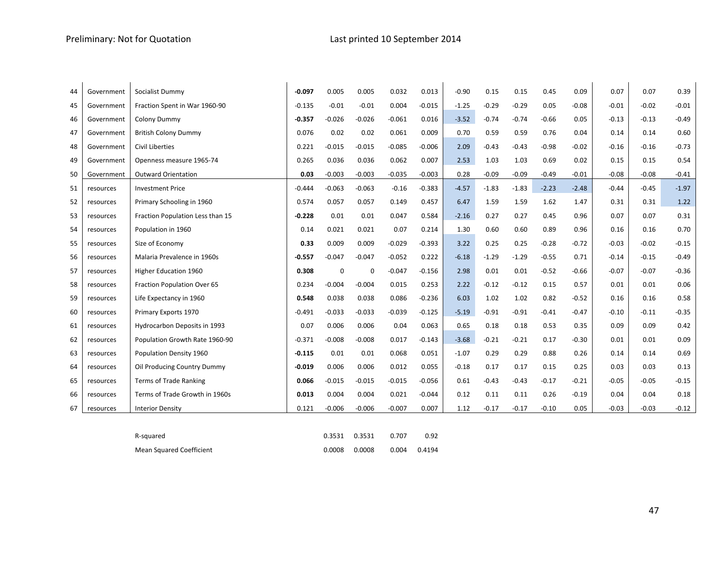| 44 | Government | Socialist Dummy                  | $-0.097$ | 0.005       | 0.005       | 0.032    | 0.013    | $-0.90$ | 0.15    | 0.15    | 0.45    | 0.09    | 0.07    | 0.07    | 0.39    |
|----|------------|----------------------------------|----------|-------------|-------------|----------|----------|---------|---------|---------|---------|---------|---------|---------|---------|
| 45 | Government | Fraction Spent in War 1960-90    | $-0.135$ | $-0.01$     | $-0.01$     | 0.004    | $-0.015$ | $-1.25$ | $-0.29$ | $-0.29$ | 0.05    | $-0.08$ | $-0.01$ | $-0.02$ | $-0.01$ |
| 46 | Government | Colony Dummy                     | $-0.357$ | $-0.026$    | $-0.026$    | $-0.061$ | 0.016    | $-3.52$ | $-0.74$ | $-0.74$ | $-0.66$ | 0.05    | $-0.13$ | $-0.13$ | $-0.49$ |
| 47 | Government | <b>British Colony Dummy</b>      | 0.076    | 0.02        | 0.02        | 0.061    | 0.009    | 0.70    | 0.59    | 0.59    | 0.76    | 0.04    | 0.14    | 0.14    | 0.60    |
| 48 | Government | Civil Liberties                  | 0.221    | $-0.015$    | $-0.015$    | $-0.085$ | $-0.006$ | 2.09    | $-0.43$ | $-0.43$ | $-0.98$ | $-0.02$ | $-0.16$ | $-0.16$ | $-0.73$ |
| 49 | Government | Openness measure 1965-74         | 0.265    | 0.036       | 0.036       | 0.062    | 0.007    | 2.53    | 1.03    | 1.03    | 0.69    | 0.02    | 0.15    | 0.15    | 0.54    |
| 50 | Government | <b>Outward Orientation</b>       | 0.03     | $-0.003$    | $-0.003$    | $-0.035$ | $-0.003$ | 0.28    | $-0.09$ | $-0.09$ | $-0.49$ | $-0.01$ | $-0.08$ | $-0.08$ | $-0.41$ |
| 51 | resources  | <b>Investment Price</b>          | $-0.444$ | $-0.063$    | $-0.063$    | $-0.16$  | $-0.383$ | $-4.57$ | $-1.83$ | $-1.83$ | $-2.23$ | $-2.48$ | $-0.44$ | $-0.45$ | $-1.97$ |
| 52 | resources  | Primary Schooling in 1960        | 0.574    | 0.057       | 0.057       | 0.149    | 0.457    | 6.47    | 1.59    | 1.59    | 1.62    | 1.47    | 0.31    | 0.31    | 1.22    |
| 53 | resources  | Fraction Population Less than 15 | $-0.228$ | 0.01        | 0.01        | 0.047    | 0.584    | $-2.16$ | 0.27    | 0.27    | 0.45    | 0.96    | 0.07    | 0.07    | 0.31    |
| 54 | resources  | Population in 1960               | 0.14     | 0.021       | 0.021       | 0.07     | 0.214    | 1.30    | 0.60    | 0.60    | 0.89    | 0.96    | 0.16    | 0.16    | 0.70    |
| 55 | resources  | Size of Economy                  | 0.33     | 0.009       | 0.009       | $-0.029$ | $-0.393$ | 3.22    | 0.25    | 0.25    | $-0.28$ | $-0.72$ | $-0.03$ | $-0.02$ | $-0.15$ |
| 56 | resources  | Malaria Prevalence in 1960s      | $-0.557$ | $-0.047$    | $-0.047$    | $-0.052$ | 0.222    | $-6.18$ | $-1.29$ | $-1.29$ | $-0.55$ | 0.71    | $-0.14$ | $-0.15$ | $-0.49$ |
| 57 | resources  | Higher Education 1960            | 0.308    | $\mathbf 0$ | $\mathbf 0$ | $-0.047$ | $-0.156$ | 2.98    | 0.01    | 0.01    | $-0.52$ | $-0.66$ | $-0.07$ | $-0.07$ | $-0.36$ |
| 58 | resources  | Fraction Population Over 65      | 0.234    | $-0.004$    | $-0.004$    | 0.015    | 0.253    | 2.22    | $-0.12$ | $-0.12$ | 0.15    | 0.57    | 0.01    | 0.01    | 0.06    |
| 59 | resources  | Life Expectancy in 1960          | 0.548    | 0.038       | 0.038       | 0.086    | $-0.236$ | 6.03    | 1.02    | 1.02    | 0.82    | $-0.52$ | 0.16    | 0.16    | 0.58    |
| 60 | resources  | Primary Exports 1970             | $-0.491$ | $-0.033$    | $-0.033$    | $-0.039$ | $-0.125$ | $-5.19$ | $-0.91$ | $-0.91$ | $-0.41$ | $-0.47$ | $-0.10$ | $-0.11$ | $-0.35$ |
| 61 | resources  | Hydrocarbon Deposits in 1993     | 0.07     | 0.006       | 0.006       | 0.04     | 0.063    | 0.65    | 0.18    | 0.18    | 0.53    | 0.35    | 0.09    | 0.09    | 0.42    |
| 62 | resources  | Population Growth Rate 1960-90   | $-0.371$ | $-0.008$    | $-0.008$    | 0.017    | $-0.143$ | $-3.68$ | $-0.21$ | $-0.21$ | 0.17    | $-0.30$ | 0.01    | 0.01    | 0.09    |
| 63 | resources  | Population Density 1960          | $-0.115$ | 0.01        | 0.01        | 0.068    | 0.051    | $-1.07$ | 0.29    | 0.29    | 0.88    | 0.26    | 0.14    | 0.14    | 0.69    |
| 64 | resources  | Oil Producing Country Dummy      | $-0.019$ | 0.006       | 0.006       | 0.012    | 0.055    | $-0.18$ | 0.17    | 0.17    | 0.15    | 0.25    | 0.03    | 0.03    | 0.13    |
| 65 | resources  | <b>Terms of Trade Ranking</b>    | 0.066    | $-0.015$    | $-0.015$    | $-0.015$ | $-0.056$ | 0.61    | $-0.43$ | $-0.43$ | $-0.17$ | $-0.21$ | $-0.05$ | $-0.05$ | $-0.15$ |
| 66 | resources  | Terms of Trade Growth in 1960s   | 0.013    | 0.004       | 0.004       | 0.021    | $-0.044$ | 0.12    | 0.11    | 0.11    | 0.26    | $-0.19$ | 0.04    | 0.04    | 0.18    |
| 67 | resources  | <b>Interior Density</b>          | 0.121    | $-0.006$    | $-0.006$    | $-0.007$ | 0.007    | 1.12    | $-0.17$ | $-0.17$ | $-0.10$ | 0.05    | $-0.03$ | $-0.03$ | $-0.12$ |

| R-squared                | 0.3531 0.3531     | 0.707 | 0.92         |
|--------------------------|-------------------|-------|--------------|
| Mean Squared Coefficient | $0.0008$ $0.0008$ |       | 0.004 0.4194 |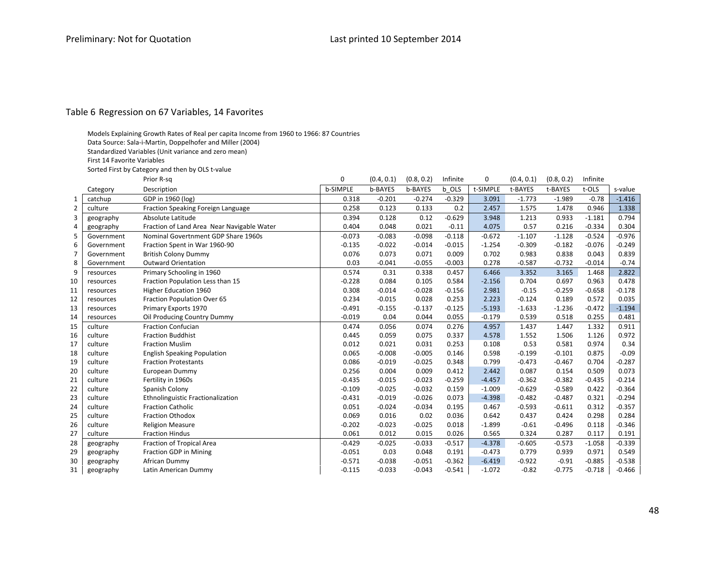#### Table 6 Regression on 67 Variables, 14 Favorites

- Models Explaining Growth Rates of Real per capita Income from 1960 to 1966: 87 Countries
- Data Source: Sala‐i‐Martin, Doppelhofer and Miller (2004)
- Standardized Variables (Unit variance and zero mean)
- First 14 Favorite Variables
- Sorted First by Category and then by OLS <sup>t</sup>‐value

|                |            | Prior R-sq                                 | 0               | (0.4, 0.1)     | (0.8, 0.2) | Infinite | 0        | (0.4, 0.1) | (0.8, 0.2) | Infinite |          |
|----------------|------------|--------------------------------------------|-----------------|----------------|------------|----------|----------|------------|------------|----------|----------|
|                | Category   | Description                                | <b>b-SIMPLE</b> | <b>b-BAYES</b> | b-BAYES    | b OLS    | t-SIMPLE | t-BAYES    | t-BAYES    | t-OLS    | s-value  |
|                | catchup    | GDP in 1960 (log)                          | 0.318           | $-0.201$       | $-0.274$   | $-0.329$ | 3.091    | $-1.773$   | $-1.989$   | $-0.78$  | $-1.416$ |
| $\overline{2}$ | culture    | Fraction Speaking Foreign Language         | 0.258           | 0.123          | 0.133      | 0.2      | 2.457    | 1.575      | 1.478      | 0.946    | 1.338    |
| 3              | geography  | Absolute Latitude                          | 0.394           | 0.128          | 0.12       | $-0.629$ | 3.948    | 1.213      | 0.933      | $-1.181$ | 0.794    |
| 4              | geography  | Fraction of Land Area Near Navigable Water | 0.404           | 0.048          | 0.021      | $-0.11$  | 4.075    | 0.57       | 0.216      | $-0.334$ | 0.304    |
| 5              | Government | Nominal Govertnment GDP Share 1960s        | $-0.073$        | $-0.083$       | $-0.098$   | $-0.118$ | $-0.672$ | $-1.107$   | $-1.128$   | $-0.524$ | $-0.976$ |
| 6              | Government | Fraction Spent in War 1960-90              | $-0.135$        | $-0.022$       | $-0.014$   | $-0.015$ | $-1.254$ | $-0.309$   | $-0.182$   | $-0.076$ | $-0.249$ |
| 7              | Government | <b>British Colony Dummy</b>                | 0.076           | 0.073          | 0.071      | 0.009    | 0.702    | 0.983      | 0.838      | 0.043    | 0.839    |
| 8              | Government | <b>Outward Orientation</b>                 | 0.03            | $-0.041$       | $-0.055$   | $-0.003$ | 0.278    | $-0.587$   | $-0.732$   | $-0.014$ | $-0.74$  |
| 9              | resources  | Primary Schooling in 1960                  | 0.574           | 0.31           | 0.338      | 0.457    | 6.466    | 3.352      | 3.165      | 1.468    | 2.822    |
| 10             | resources  | Fraction Population Less than 15           | $-0.228$        | 0.084          | 0.105      | 0.584    | $-2.156$ | 0.704      | 0.697      | 0.963    | 0.478    |
| 11             | resources  | Higher Education 1960                      | 0.308           | $-0.014$       | $-0.028$   | $-0.156$ | 2.981    | $-0.15$    | $-0.259$   | $-0.658$ | $-0.178$ |
| 12             | resources  | Fraction Population Over 65                | 0.234           | $-0.015$       | 0.028      | 0.253    | 2.223    | $-0.124$   | 0.189      | 0.572    | 0.035    |
| 13             | resources  | Primary Exports 1970                       | $-0.491$        | $-0.155$       | $-0.137$   | $-0.125$ | $-5.193$ | $-1.633$   | $-1.236$   | $-0.472$ | $-1.194$ |
| 14             | resources  | Oil Producing Country Dummy                | $-0.019$        | 0.04           | 0.044      | 0.055    | $-0.179$ | 0.539      | 0.518      | 0.255    | 0.481    |
| 15             | culture    | <b>Fraction Confucian</b>                  | 0.474           | 0.056          | 0.074      | 0.276    | 4.957    | 1.437      | 1.447      | 1.332    | 0.911    |
| 16             | culture    | <b>Fraction Buddhist</b>                   | 0.445           | 0.059          | 0.075      | 0.337    | 4.578    | 1.552      | 1.506      | 1.126    | 0.972    |
| 17             | culture    | <b>Fraction Muslim</b>                     | 0.012           | 0.021          | 0.031      | 0.253    | 0.108    | 0.53       | 0.581      | 0.974    | 0.34     |
| 18             | culture    | <b>English Speaking Population</b>         | 0.065           | $-0.008$       | $-0.005$   | 0.146    | 0.598    | $-0.199$   | $-0.101$   | 0.875    | $-0.09$  |
| 19             | culture    | <b>Fraction Protestants</b>                | 0.086           | $-0.019$       | $-0.025$   | 0.348    | 0.799    | $-0.473$   | $-0.467$   | 0.704    | $-0.287$ |
| 20             | culture    | European Dummy                             | 0.256           | 0.004          | 0.009      | 0.412    | 2.442    | 0.087      | 0.154      | 0.509    | 0.073    |
| 21             | culture    | Fertility in 1960s                         | $-0.435$        | $-0.015$       | $-0.023$   | $-0.259$ | $-4.457$ | $-0.362$   | $-0.382$   | $-0.435$ | $-0.214$ |
| 22             | culture    | Spanish Colony                             | $-0.109$        | $-0.025$       | $-0.032$   | 0.159    | $-1.009$ | $-0.629$   | $-0.589$   | 0.422    | $-0.364$ |
| 23             | culture    | <b>Ethnolinguistic Fractionalization</b>   | $-0.431$        | $-0.019$       | $-0.026$   | 0.073    | $-4.398$ | $-0.482$   | $-0.487$   | 0.321    | $-0.294$ |
| 24             | culture    | <b>Fraction Catholic</b>                   | 0.051           | $-0.024$       | $-0.034$   | 0.195    | 0.467    | $-0.593$   | $-0.611$   | 0.312    | $-0.357$ |
| 25             | culture    | <b>Fraction Othodox</b>                    | 0.069           | 0.016          | 0.02       | 0.036    | 0.642    | 0.437      | 0.424      | 0.298    | 0.284    |
| 26             | culture    | <b>Religion Measure</b>                    | $-0.202$        | $-0.023$       | $-0.025$   | 0.018    | $-1.899$ | $-0.61$    | $-0.496$   | 0.118    | $-0.346$ |
| 27             | culture    | <b>Fraction Hindus</b>                     | 0.061           | 0.012          | 0.015      | 0.026    | 0.565    | 0.324      | 0.287      | 0.117    | 0.191    |
| 28             | geography  | Fraction of Tropical Area                  | $-0.429$        | $-0.025$       | $-0.033$   | $-0.517$ | $-4.378$ | $-0.605$   | $-0.573$   | $-1.058$ | $-0.339$ |
| 29             | geography  | <b>Fraction GDP in Mining</b>              | $-0.051$        | 0.03           | 0.048      | 0.191    | $-0.473$ | 0.779      | 0.939      | 0.971    | 0.549    |
| 30             | geography  | African Dummy                              | $-0.571$        | $-0.038$       | $-0.051$   | $-0.362$ | $-6.419$ | $-0.922$   | $-0.91$    | $-0.885$ | $-0.538$ |
| 31             | geography  | Latin American Dummy                       | $-0.115$        | $-0.033$       | $-0.043$   | $-0.541$ | $-1.072$ | $-0.82$    | $-0.775$   | $-0.718$ | $-0.466$ |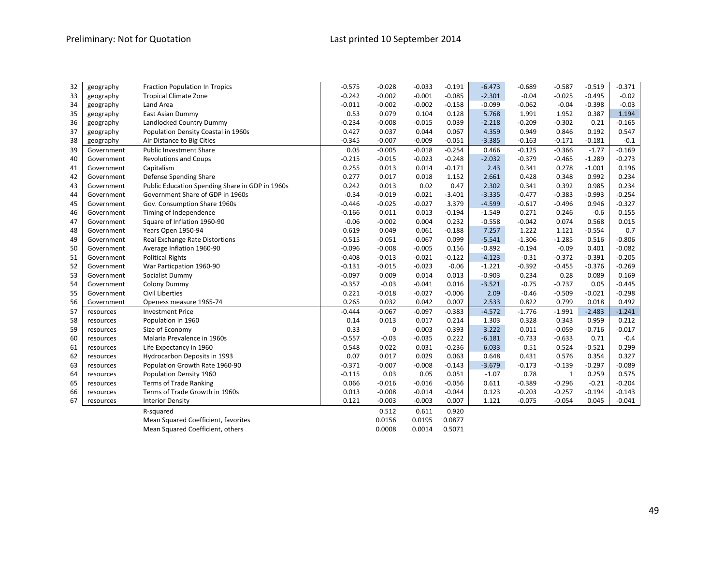## Preliminary: Not for Quotation Last printed 10 September 2014

| 32 | geography              | <b>Fraction Population In Tropics</b>           | $-0.575$ | $-0.028$    | $-0.033$ | $-0.191$ | $-6.473$ | $-0.689$ | $-0.587$     | $-0.519$ | $-0.371$ |
|----|------------------------|-------------------------------------------------|----------|-------------|----------|----------|----------|----------|--------------|----------|----------|
| 33 | geography              | <b>Tropical Climate Zone</b>                    | $-0.242$ | $-0.002$    | $-0.001$ | $-0.085$ | $-2.301$ | $-0.04$  | $-0.025$     | $-0.495$ | $-0.02$  |
| 34 | Land Area<br>geography |                                                 | $-0.011$ | $-0.002$    | $-0.002$ | $-0.158$ | $-0.099$ | $-0.062$ | $-0.04$      | $-0.398$ | $-0.03$  |
| 35 | geography              | East Asian Dummy                                | 0.53     | 0.079       | 0.104    | 0.128    | 5.768    | 1.991    | 1.952        | 0.387    | 1.194    |
| 36 | geography              | Landlocked Country Dummy                        | $-0.234$ | $-0.008$    | $-0.015$ | 0.039    | $-2.218$ | $-0.209$ | $-0.302$     | 0.21     | $-0.165$ |
| 37 | geography              | Population Density Coastal in 1960s             | 0.427    | 0.037       | 0.044    | 0.067    | 4.359    | 0.949    | 0.846        | 0.192    | 0.547    |
| 38 | geography              | Air Distance to Big Cities                      | $-0.345$ | $-0.007$    | $-0.009$ | $-0.051$ | $-3.385$ | $-0.163$ | $-0.171$     | $-0.181$ | $-0.1$   |
| 39 | Government             | <b>Public Investment Share</b>                  | 0.05     | $-0.005$    | $-0.018$ | $-0.254$ | 0.466    | $-0.125$ | $-0.366$     | $-1.77$  | $-0.169$ |
| 40 | Government             | <b>Revolutions and Coups</b>                    | $-0.215$ | $-0.015$    | $-0.023$ | $-0.248$ | $-2.032$ | $-0.379$ | $-0.465$     | $-1.289$ | $-0.273$ |
| 41 | Government             | Capitalism                                      | 0.255    | 0.013       | 0.014    | $-0.171$ | 2.43     | 0.341    | 0.278        | $-1.001$ | 0.196    |
| 42 | Government             | Defense Spending Share                          | 0.277    | 0.017       | 0.018    | 1.152    | 2.661    | 0.428    | 0.348        | 0.992    | 0.234    |
| 43 | Government             | Public Education Spending Share in GDP in 1960s | 0.242    | 0.013       | 0.02     | 0.47     | 2.302    | 0.341    | 0.392        | 0.985    | 0.234    |
| 44 | Government             | Government Share of GDP in 1960s                | $-0.34$  | $-0.019$    | $-0.021$ | $-3.401$ | $-3.335$ | $-0.477$ | $-0.383$     | $-0.993$ | $-0.254$ |
| 45 | Government             | Gov. Consumption Share 1960s                    | $-0.446$ | $-0.025$    | $-0.027$ | 3.379    | $-4.599$ | $-0.617$ | $-0.496$     | 0.946    | $-0.327$ |
| 46 | Government             | Timing of Independence                          | $-0.166$ | 0.011       | 0.013    | $-0.194$ | $-1.549$ | 0.271    | 0.246        | $-0.6$   | 0.155    |
| 47 | Government             | Square of Inflation 1960-90                     | $-0.06$  | $-0.002$    | 0.004    | 0.232    | $-0.558$ | $-0.042$ | 0.074        | 0.568    | 0.015    |
| 48 | Government             | Years Open 1950-94                              | 0.619    | 0.049       | 0.061    | $-0.188$ | 7.257    | 1.222    | 1.121        | $-0.554$ | 0.7      |
| 49 | Government             | Real Exchange Rate Distortions                  | $-0.515$ | $-0.051$    | $-0.067$ | 0.099    | $-5.541$ | $-1.306$ | $-1.285$     | 0.516    | $-0.806$ |
| 50 | Government             | Average Inflation 1960-90                       | $-0.096$ | $-0.008$    | $-0.005$ | 0.156    | $-0.892$ | $-0.194$ | $-0.09$      | 0.401    | $-0.082$ |
| 51 | Government             | <b>Political Rights</b>                         | $-0.408$ | $-0.013$    | $-0.021$ | $-0.122$ | $-4.123$ | $-0.31$  | $-0.372$     | $-0.391$ | $-0.205$ |
| 52 | Government             | War Particpation 1960-90                        | $-0.131$ | $-0.015$    | $-0.023$ | $-0.06$  | $-1.221$ | $-0.392$ | $-0.455$     | $-0.376$ | $-0.269$ |
| 53 | Government             | Socialist Dummy                                 | $-0.097$ | 0.009       | 0.014    | 0.013    | $-0.903$ | 0.234    | 0.28         | 0.089    | 0.169    |
| 54 | Government             | <b>Colony Dummy</b>                             | $-0.357$ | $-0.03$     | $-0.041$ | 0.016    | $-3.521$ | $-0.75$  | $-0.737$     | 0.05     | $-0.445$ |
| 55 | Government             | <b>Civil Liberties</b>                          | 0.221    | $-0.018$    | $-0.027$ | $-0.006$ | 2.09     | $-0.46$  | $-0.509$     | $-0.021$ | $-0.298$ |
| 56 | Government             | Openess measure 1965-74                         | 0.265    | 0.032       | 0.042    | 0.007    | 2.533    | 0.822    | 0.799        | 0.018    | 0.492    |
| 57 | resources              | <b>Investment Price</b>                         | $-0.444$ | $-0.067$    | $-0.097$ | $-0.383$ | $-4.572$ | $-1.776$ | $-1.991$     | $-2.483$ | $-1.241$ |
| 58 | resources              | Population in 1960                              | 0.14     | 0.013       | 0.017    | 0.214    | 1.303    | 0.328    | 0.343        | 0.959    | 0.212    |
| 59 | resources              | Size of Economy                                 | 0.33     | $\mathbf 0$ | $-0.003$ | $-0.393$ | 3.222    | 0.011    | $-0.059$     | $-0.716$ | $-0.017$ |
| 60 | resources              | Malaria Prevalence in 1960s                     | $-0.557$ | $-0.03$     | $-0.035$ | 0.222    | $-6.181$ | $-0.733$ | $-0.633$     | 0.71     | $-0.4$   |
| 61 | resources              | Life Expectancy in 1960                         | 0.548    | 0.022       | 0.031    | $-0.236$ | 6.033    | 0.51     | 0.524        | $-0.521$ | 0.299    |
| 62 | resources              | Hydrocarbon Deposits in 1993                    | 0.07     | 0.017       | 0.029    | 0.063    | 0.648    | 0.431    | 0.576        | 0.354    | 0.327    |
| 63 | resources              | Population Growth Rate 1960-90                  | $-0.371$ | $-0.007$    | $-0.008$ | $-0.143$ | $-3.679$ | $-0.173$ | $-0.139$     | $-0.297$ | $-0.089$ |
| 64 | resources              | Population Density 1960                         | $-0.115$ | 0.03        | 0.05     | 0.051    | $-1.07$  | 0.78     | $\mathbf{1}$ | 0.259    | 0.575    |
| 65 | resources              | <b>Terms of Trade Ranking</b>                   | 0.066    | $-0.016$    | $-0.016$ | $-0.056$ | 0.611    | $-0.389$ | $-0.296$     | $-0.21$  | $-0.204$ |
| 66 | resources              | Terms of Trade Growth in 1960s                  | 0.013    | $-0.008$    | $-0.014$ | $-0.044$ | 0.123    | $-0.203$ | $-0.257$     | $-0.194$ | $-0.143$ |
| 67 | resources              | <b>Interior Density</b>                         | 0.121    | $-0.003$    | $-0.003$ | 0.007    | 1.121    | $-0.075$ | $-0.054$     | 0.045    | $-0.041$ |
|    |                        | R-squared                                       |          | 0.512       | 0.611    | 0.920    |          |          |              |          |          |
|    |                        | Mean Squared Coefficient, favorites             |          | 0.0156      | 0.0195   | 0.0877   |          |          |              |          |          |
|    |                        | Mean Squared Coefficient, others                |          | 0.0008      | 0.0014   | 0.5071   |          |          |              |          |          |